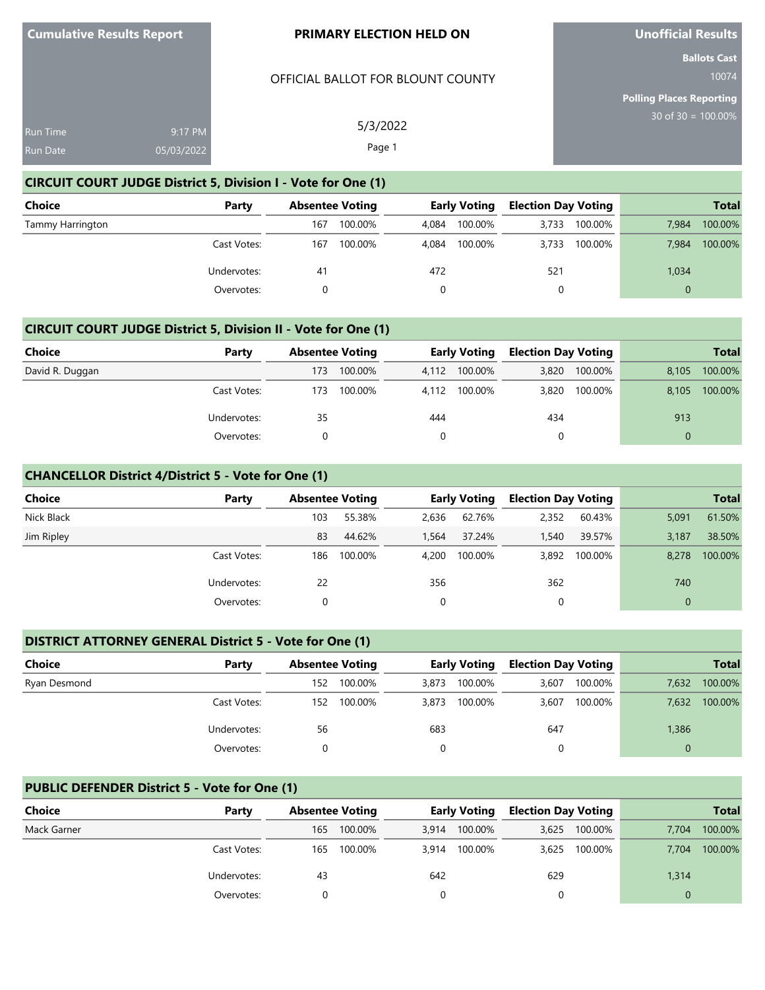# OFFICIAL BALLOT FOR BLOUNT COUNTY

5/3/2022 Page 1

**Unofficial Results**

**Ballots Cast** 10074

**Polling Places Reporting** 30 of 30 = 100.00%

| <b>Run Time</b> | 9:17 PM    |
|-----------------|------------|
| Run Date        | 05/03/2022 |

# **CIRCUIT COURT JUDGE District 5, Division I - Vote for One (1)**

| Choice           | Party       |     | <b>Absentee Voting</b> |       | <b>Early Voting</b> | <b>Election Day Voting</b> |         | <b>Total</b> |         |
|------------------|-------------|-----|------------------------|-------|---------------------|----------------------------|---------|--------------|---------|
| Tammy Harrington |             | 167 | 100.00%                | 4.084 | 100.00%             | 3.733                      | 100.00% | 7.984        | 100.00% |
|                  | Cast Votes: | 167 | 100.00%                | 4.084 | 100.00%             | 3.733                      | 100.00% | 7.984        | 100.00% |
|                  | Undervotes: | 41  |                        | 472   |                     | 521                        |         | 1,034        |         |
|                  | Overvotes:  |     |                        |       |                     | 0                          |         | $\Omega$     |         |

# **CIRCUIT COURT JUDGE District 5, Division II - Vote for One (1)**

| <b>Choice</b>   | Party       |     | <b>Absentee Voting</b> |       | <b>Early Voting</b> | <b>Election Day Voting</b> |         |          | <b>Total</b> |
|-----------------|-------------|-----|------------------------|-------|---------------------|----------------------------|---------|----------|--------------|
| David R. Duggan |             | 173 | 100.00%                | 4.112 | 100.00%             | 3,820                      | 100.00% | 8.105    | 100.00%      |
|                 | Cast Votes: | 173 | 100.00%                |       | 4,112 100.00%       | 3,820                      | 100.00% | 8.105    | 100.00%      |
|                 | Undervotes: | 35  |                        | 444   |                     | 434                        |         | 913      |              |
|                 | Overvotes:  |     |                        |       |                     | 0                          |         | $\Omega$ |              |

# **CHANCELLOR District 4/District 5 - Vote for One (1)**

| <b>Choice</b> | Party       |     | <b>Absentee Voting</b> |       | <b>Early Voting</b> | <b>Election Day Voting</b> |         |              | <b>Total</b> |
|---------------|-------------|-----|------------------------|-------|---------------------|----------------------------|---------|--------------|--------------|
| Nick Black    |             | 103 | 55.38%                 | 2,636 | 62.76%              | 2,352                      | 60.43%  | 5,091        | 61.50%       |
| Jim Ripley    |             | 83  | 44.62%                 | 1.564 | 37.24%              | 1,540                      | 39.57%  | 3,187        | 38.50%       |
|               | Cast Votes: | 186 | 100.00%                | 4,200 | 100.00%             | 3,892                      | 100.00% | 8,278        | 100.00%      |
|               | Undervotes: | 22  |                        | 356   |                     | 362                        |         | 740          |              |
|               | Overvotes:  |     |                        | 0     |                     |                            |         | $\mathbf{0}$ |              |

# **DISTRICT ATTORNEY GENERAL District 5 - Vote for One (1)**

| <b>Choice</b> | Party       | <b>Absentee Voting</b> |         | <b>Early Voting</b> |         | <b>Election Day Voting</b> |         |       | <b>Total</b> |
|---------------|-------------|------------------------|---------|---------------------|---------|----------------------------|---------|-------|--------------|
| Ryan Desmond  |             | 152                    | 100.00% | 3,873               | 100.00% | 3,607                      | 100.00% | 7,632 | 100.00%      |
|               | Cast Votes: | 152                    | 100.00% | 3,873               | 100.00% | 3,607                      | 100.00% | 7,632 | 100.00%      |
|               | Undervotes: | 56                     |         | 683                 |         | 647                        |         | 1,386 |              |
|               | Overvotes:  |                        |         |                     |         |                            |         |       |              |

# **PUBLIC DEFENDER District 5 - Vote for One (1)**

| Choice      | Party       |     | <b>Absentee Voting</b> |       | <b>Early Voting</b> | <b>Election Day Voting</b> |               |       | <b>Total</b> |
|-------------|-------------|-----|------------------------|-------|---------------------|----------------------------|---------------|-------|--------------|
| Mack Garner |             | 165 | 100.00%                | 3,914 | 100.00%             |                            | 3,625 100.00% | 7.704 | 100.00%      |
|             | Cast Votes: | 165 | 100.00%                | 3,914 | 100.00%             | 3,625                      | 100.00%       | 7,704 | 100.00%      |
|             | Undervotes: | 43  |                        | 642   |                     | 629                        |               | 1,314 |              |
|             | Overvotes:  |     |                        |       |                     |                            |               |       |              |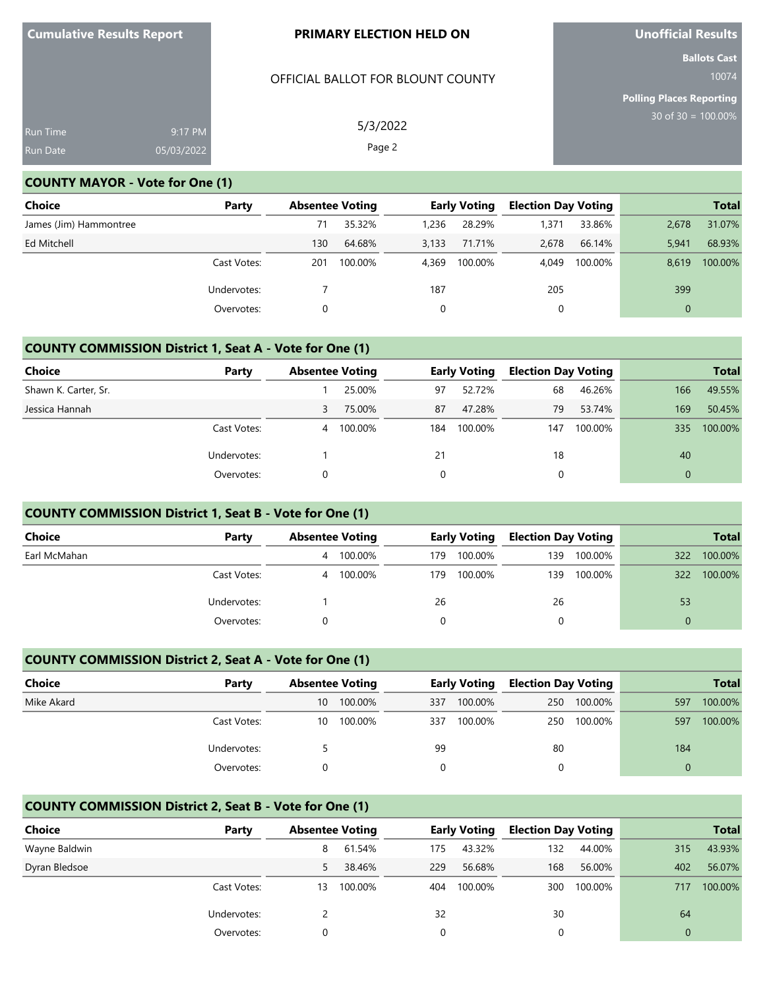# OFFICIAL BALLOT FOR BLOUNT COUNTY

5/3/2022 Page 2

**Unofficial Results**

**Ballots Cast** 10074

**Polling Places Reporting** 30 of 30 = 100.00%

| Run Time        | 9:17 PM     |
|-----------------|-------------|
| <b>Run Date</b> | 105/03/2022 |

# **COUNTY MAYOR - Vote for One (1)**

| Choice                 | Party       |     | <b>Absentee Voting</b> |       | <b>Early Voting</b> | <b>Election Day Voting</b> |         | <b>Total</b> |         |
|------------------------|-------------|-----|------------------------|-------|---------------------|----------------------------|---------|--------------|---------|
| James (Jim) Hammontree |             | 71  | 35.32%                 | 1.236 | 28.29%              | 1,371                      | 33.86%  | 2.678        | 31.07%  |
| Ed Mitchell            |             | 130 | 64.68%                 | 3.133 | 71.71%              | 2,678                      | 66.14%  | 5,941        | 68.93%  |
|                        | Cast Votes: | 201 | 100.00%                | 4.369 | 100.00%             | 4.049                      | 100.00% | 8.619        | 100.00% |
|                        | Undervotes: |     |                        | 187   |                     | 205                        |         | 399          |         |
|                        | Overvotes:  |     |                        | 0     |                     | 0                          |         | $\mathbf 0$  |         |

# **COUNTY COMMISSION District 1, Seat A - Vote for One (1)**

| <b>Choice</b>        | Party       |   | <b>Absentee Voting</b> |     | <b>Early Voting</b> | <b>Election Day Voting</b> |         |          | <b>Total</b> |
|----------------------|-------------|---|------------------------|-----|---------------------|----------------------------|---------|----------|--------------|
| Shawn K. Carter, Sr. |             |   | 25.00%                 | 97  | 52.72%              | 68                         | 46.26%  | 166      | 49.55%       |
| Jessica Hannah       |             | 3 | 75.00%                 | 87  | 47.28%              | 79                         | 53.74%  | 169      | 50.45%       |
|                      | Cast Votes: | 4 | 100.00%                | 184 | 100.00%             | 147                        | 100.00% | 335      | 100.00%      |
|                      | Undervotes: |   |                        | 21  |                     | 18                         |         | 40       |              |
|                      | Overvotes:  |   |                        | 0   |                     |                            |         | $\Omega$ |              |

# **COUNTY COMMISSION District 1, Seat B - Vote for One (1)**

| <b>Choice</b> | Party       |   | <b>Absentee Voting</b> |      | <b>Early Voting</b> |     | <b>Election Day Voting</b> |     | <b>Total</b> |
|---------------|-------------|---|------------------------|------|---------------------|-----|----------------------------|-----|--------------|
| Earl McMahan  |             | 4 | 100.00%                | 179. | 100.00%             | 139 | 100.00%                    | 322 | 100.00%      |
|               | Cast Votes: | 4 | 100.00%                | 179  | 100.00%             | 139 | 100.00%                    | 322 | 100.00%      |
|               | Undervotes: |   |                        | 26   |                     | 26  |                            | 53  |              |
|               | Overvotes:  |   |                        |      |                     |     |                            |     |              |

# **COUNTY COMMISSION District 2, Seat A - Vote for One (1)**

| Choice     | Party       |    | <b>Absentee Voting</b> |     | <b>Early Voting</b> |          | <b>Election Day Voting</b> |          | <b>Total</b> |
|------------|-------------|----|------------------------|-----|---------------------|----------|----------------------------|----------|--------------|
| Mike Akard |             | 10 | 100.00%                | 337 | 100.00%             | 250      | 100.00%                    | 597      | 100.00%      |
|            | Cast Votes: | 10 | 100.00%                | 337 | 100.00%             | 250      | 100.00%                    | 597      | 100.00%      |
|            | Undervotes: |    |                        | 99  |                     | 80       |                            | 184      |              |
|            | Overvotes:  |    |                        |     |                     | $\Omega$ |                            | $\Omega$ |              |

## **COUNTY COMMISSION District 2, Seat B - Vote for One (1)**

| <b>Choice</b> | Party       | <b>Absentee Voting</b> |         |     | <b>Early Voting</b> | <b>Election Day Voting</b> |         |     | <b>Total</b> |
|---------------|-------------|------------------------|---------|-----|---------------------|----------------------------|---------|-----|--------------|
| Wayne Baldwin |             | 8                      | 61.54%  | 175 | 43.32%              | 132                        | 44.00%  | 315 | 43.93%       |
| Dyran Bledsoe |             | 5.                     | 38.46%  | 229 | 56.68%              | 168                        | 56.00%  | 402 | 56.07%       |
|               | Cast Votes: | 13                     | 100.00% | 404 | 100.00%             | 300                        | 100.00% | 717 | 100.00%      |
|               | Undervotes: |                        |         | 32  |                     | 30                         |         | 64  |              |
|               | Overvotes:  |                        |         | 0   |                     |                            |         |     |              |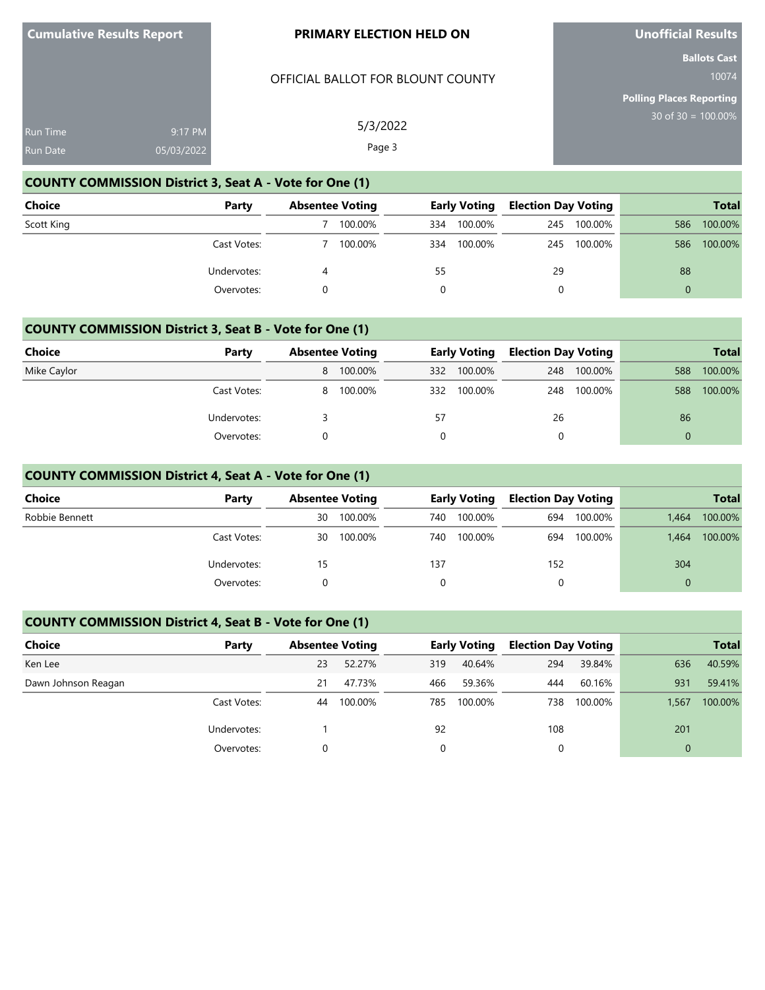### OFFICIAL BALLOT FOR BLOUNT COUNTY

5/3/2022 Page 3

**Unofficial Results**

**Ballots Cast** 10074

**Polling Places Reporting** 30 of 30 = 100.00%

| <b>Run Time</b> | $9:17$ PM  |
|-----------------|------------|
| Run Date        | 05/03/2022 |

# **COUNTY COMMISSION District 3, Seat A - Vote for One (1)**

| <b>Choice</b> | Party       | <b>Absentee Voting</b> | <b>Early Voting</b> | <b>Election Day Voting</b> |         |          | <b>Total</b> |
|---------------|-------------|------------------------|---------------------|----------------------------|---------|----------|--------------|
| Scott King    |             | 100.00%                | 334                 | 100.00%<br>245             | 100.00% | 586      | 100.00%      |
|               | Cast Votes: | 100.00%                | 334                 | 100.00%<br>245             | 100.00% | 586      | 100.00%      |
|               | Undervotes: |                        | 55                  | 29                         |         | 88       |              |
|               | Overvotes:  |                        |                     | 0                          |         | $\Omega$ |              |

# **COUNTY COMMISSION District 3, Seat B - Vote for One (1)**

| Choice      | Party       | <b>Absentee Voting</b> |           |     | <b>Early Voting</b> |     | <b>Election Day Voting</b> |          | <b>Total</b> |
|-------------|-------------|------------------------|-----------|-----|---------------------|-----|----------------------------|----------|--------------|
| Mike Caylor |             |                        | 8 100.00% | 332 | 100.00%             | 248 | 100.00%                    | 588      | 100.00%      |
|             | Cast Votes: |                        | 8 100.00% | 332 | 100.00%             | 248 | 100.00%                    | 588      | 100.00%      |
|             | Undervotes: |                        |           | 57  |                     | 26  |                            | 86       |              |
|             | Overvotes:  |                        |           |     |                     |     |                            | $\Omega$ |              |

# **COUNTY COMMISSION District 4, Seat A - Vote for One (1)**

| <b>Choice</b>  | Party       | <b>Absentee Voting</b> |         | <b>Early Voting</b> |         | <b>Election Day Voting</b> |         |          | <b>Total</b> |
|----------------|-------------|------------------------|---------|---------------------|---------|----------------------------|---------|----------|--------------|
| Robbie Bennett |             | 30                     | 100.00% | 740                 | 100.00% | 694                        | 100.00% | 1.464    | 100.00%      |
|                | Cast Votes: | 30                     | 100.00% | 740                 | 100.00% | 694                        | 100.00% | 1,464    | 100.00%      |
|                | Undervotes: | 15                     |         | 137                 |         | 152                        |         | 304      |              |
|                | Overvotes:  |                        |         | 0                   |         | 0                          |         | $\Omega$ |              |

# **COUNTY COMMISSION District 4, Seat B - Vote for One (1)**

| Choice              | Party       | <b>Absentee Voting</b> |         |     | <b>Early Voting</b> | <b>Election Day Voting</b> |         |          | <b>Total</b> |
|---------------------|-------------|------------------------|---------|-----|---------------------|----------------------------|---------|----------|--------------|
| Ken Lee             |             | 23                     | 52.27%  | 319 | 40.64%              | 294                        | 39.84%  | 636      | 40.59%       |
| Dawn Johnson Reagan |             | 21                     | 47.73%  | 466 | 59.36%              | 444                        | 60.16%  | 931      | 59.41%       |
|                     | Cast Votes: | 44                     | 100.00% | 785 | 100.00%             | 738                        | 100.00% | 1,567    | 100.00%      |
|                     | Undervotes: |                        |         | 92  |                     | 108                        |         | 201      |              |
|                     | Overvotes:  |                        |         | 0   |                     |                            |         | $\Omega$ |              |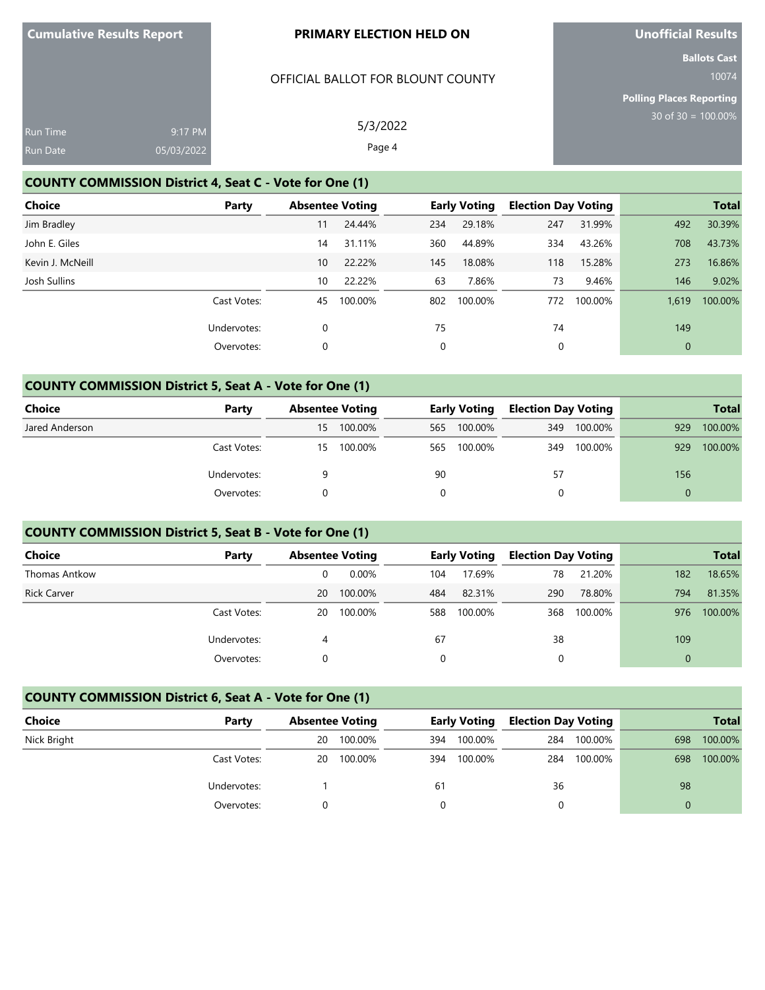# OFFICIAL BALLOT FOR BLOUNT COUNTY

**Unofficial Results**

**Ballots Cast** 10074

**Polling Places Reporting** 30 of 30 = 100.00%

| <b>Run Time</b> | $9:17$ PM  | 5/3/2022 |
|-----------------|------------|----------|
| <b>Run Date</b> | 05/03/2022 | Page 4   |

# **COUNTY COMMISSION District 4, Seat C - Vote for One (1)**

| <b>Choice</b>    | Party       | <b>Absentee Voting</b> |         |     | <b>Early Voting</b> | <b>Election Day Voting</b> |         |              | <b>Total</b> |
|------------------|-------------|------------------------|---------|-----|---------------------|----------------------------|---------|--------------|--------------|
| Jim Bradley      |             | 11                     | 24.44%  | 234 | 29.18%              | 247                        | 31.99%  | 492          | 30.39%       |
| John E. Giles    |             | 14                     | 31.11%  | 360 | 44.89%              | 334                        | 43.26%  | 708          | 43.73%       |
| Kevin J. McNeill |             | 10                     | 22.22%  | 145 | 18.08%              | 118                        | 15.28%  | 273          | 16.86%       |
| Josh Sullins     |             | 10                     | 22.22%  | 63  | 7.86%               | 73                         | 9.46%   | 146          | 9.02%        |
|                  | Cast Votes: | 45                     | 100.00% | 802 | 100.00%             | 772                        | 100.00% | 1.619        | 100.00%      |
|                  | Undervotes: | 0                      |         | 75  |                     | 74                         |         | 149          |              |
|                  | Overvotes:  | 0                      |         | 0   |                     | 0                          |         | $\mathbf{0}$ |              |

# **COUNTY COMMISSION District 5, Seat A - Vote for One (1)**

| <b>Choice</b>  | Party       | <b>Absentee Voting</b> |         | <b>Early Voting</b> |         | <b>Election Day Voting</b> |         | <b>Total</b> |         |
|----------------|-------------|------------------------|---------|---------------------|---------|----------------------------|---------|--------------|---------|
| Jared Anderson |             | 15                     | 100.00% | 565                 | 100.00% | 349                        | 100.00% | 929          | 100.00% |
|                | Cast Votes: | 15                     | 100.00% | 565                 | 100.00% | 349                        | 100.00% | 929          | 100.00% |
|                | Undervotes: |                        |         | 90                  |         |                            | 57      |              |         |
|                | Overvotes:  |                        |         |                     |         |                            |         | 0            |         |

# **COUNTY COMMISSION District 5, Seat B - Vote for One (1)**

| Choice               | Party       | <b>Absentee Voting</b> |          |     | <b>Early Voting</b> | <b>Election Day Voting</b> |         |          | <b>Total</b> |
|----------------------|-------------|------------------------|----------|-----|---------------------|----------------------------|---------|----------|--------------|
| <b>Thomas Antkow</b> |             |                        | $0.00\%$ | 104 | 17.69%              | 78                         | 21.20%  | 182      | 18.65%       |
| <b>Rick Carver</b>   |             | 20                     | 100.00%  | 484 | 82.31%              | 290                        | 78.80%  | 794      | 81.35%       |
|                      | Cast Votes: | 20                     | 100.00%  | 588 | 100.00%             | 368                        | 100.00% | 976      | 100.00%      |
|                      | Undervotes: |                        |          | 67  |                     | 38                         |         | 109      |              |
|                      | Overvotes:  |                        |          | 0   |                     |                            |         | $\Omega$ |              |

# **COUNTY COMMISSION District 6, Seat A - Vote for One (1)**

| <b>Choice</b> | Party       | <b>Absentee Voting</b> |         |     | <b>Early Voting</b> |     | <b>Election Day Voting</b> |     | <b>Total</b> |
|---------------|-------------|------------------------|---------|-----|---------------------|-----|----------------------------|-----|--------------|
| Nick Bright   |             | 20                     | 100.00% | 394 | 100.00%             | 284 | 100.00%                    | 698 | 100.00%      |
|               | Cast Votes: | 20                     | 100.00% | 394 | 100.00%             | 284 | 100.00%                    | 698 | 100.00%      |
|               | Undervotes: |                        |         | 61  |                     | 36  |                            | 98  |              |
|               | Overvotes:  |                        |         |     |                     |     |                            |     |              |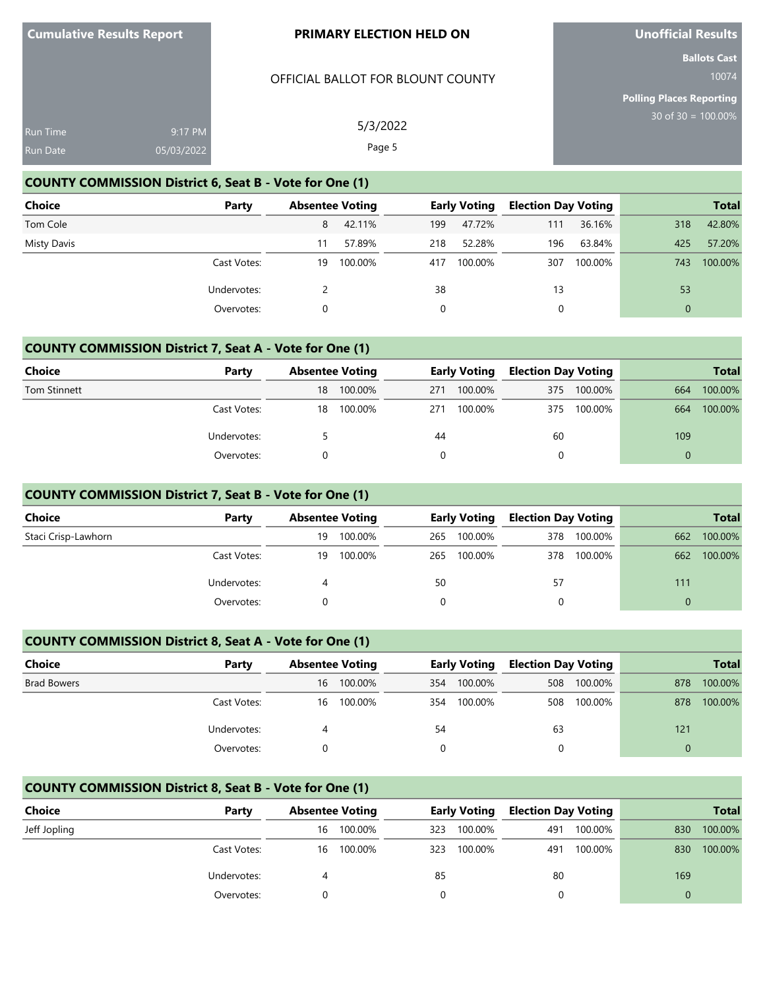# OFFICIAL BALLOT FOR BLOUNT COUNTY

**Unofficial Results**

**Ballots Cast** 10074

**Polling Places Reporting** 30 of 30 = 100.00%

| Run Time        | 9:17 PM    | 5/3/2022 |
|-----------------|------------|----------|
| <b>Run Date</b> | 05/03/2022 | Page 5   |

# **COUNTY COMMISSION District 6, Seat B - Vote for One (1)**

| <b>Choice</b> | Party       | <b>Absentee Voting</b> |         |     | Early Voting | <b>Election Day Voting</b> |         |          | <b>Total</b> |
|---------------|-------------|------------------------|---------|-----|--------------|----------------------------|---------|----------|--------------|
| Tom Cole      |             | 8                      | 42.11%  | 199 | 47.72%       | 111                        | 36.16%  | 318      | 42.80%       |
| Misty Davis   |             | 11                     | 57.89%  | 218 | 52.28%       | 196                        | 63.84%  | 425      | 57.20%       |
|               | Cast Votes: | 19                     | 100.00% | 417 | 100.00%      | 307                        | 100.00% | 743      | 100.00%      |
|               | Undervotes: |                        |         | 38  |              | 13                         |         | 53       |              |
|               | Overvotes:  |                        |         |     |              | 0                          |         | $\Omega$ |              |

# **COUNTY COMMISSION District 7, Seat A - Vote for One (1)**

| <b>Choice</b>       | Party       |    | <b>Absentee Voting</b> |     | <b>Early Voting</b> |     | <b>Election Day Voting</b> | <b>Total</b> |         |
|---------------------|-------------|----|------------------------|-----|---------------------|-----|----------------------------|--------------|---------|
| <b>Tom Stinnett</b> |             | 18 | 100.00%                | 271 | 100.00%             | 375 | 100.00%                    | 664          | 100.00% |
|                     | Cast Votes: | 18 | 100.00%                | 271 | 100.00%             | 375 | 100.00%                    | 664          | 100.00% |
|                     | Undervotes: |    |                        | 44  |                     | 60  |                            | 109          |         |
|                     | Overvotes:  |    |                        |     |                     |     |                            |              |         |

### **COUNTY COMMISSION District 7, Seat B - Vote for One (1)**

| <b>Choice</b>       | Party       | <b>Absentee Voting</b> |         | <b>Early Voting</b> |         | <b>Election Day Voting</b> |         |     | <b>Total</b> |
|---------------------|-------------|------------------------|---------|---------------------|---------|----------------------------|---------|-----|--------------|
| Staci Crisp-Lawhorn |             | 19                     | 100.00% | 265                 | 100.00% | 378                        | 100.00% | 662 | 100.00%      |
|                     | Cast Votes: | 19                     | 100.00% | 265                 | 100.00% | 378                        | 100.00% | 662 | 100.00%      |
|                     | Undervotes: |                        |         | 50                  |         | 57                         |         | 111 |              |
|                     | Overvotes:  |                        |         |                     |         |                            |         | 0   |              |

# **COUNTY COMMISSION District 8, Seat A - Vote for One (1)**

| <b>Choice</b>      | Party       | <b>Absentee Voting</b> |         | <b>Early Voting</b> |         | <b>Election Day Voting</b> |         |     | <b>Total</b> |
|--------------------|-------------|------------------------|---------|---------------------|---------|----------------------------|---------|-----|--------------|
| <b>Brad Bowers</b> |             | 16                     | 100.00% | 354                 | 100.00% | 508                        | 100.00% | 878 | 100.00%      |
|                    | Cast Votes: | 16                     | 100.00% | 354                 | 100.00% | 508                        | 100.00% | 878 | 100.00%      |
|                    | Undervotes: |                        |         | 54                  |         | 63                         |         | 121 |              |
|                    | Overvotes:  |                        |         |                     |         |                            |         | 0   |              |

# **COUNTY COMMISSION District 8, Seat B - Vote for One (1)**

| <b>Choice</b> | Party       |    | <b>Absentee Voting</b> |     | <b>Early Voting</b> |     | <b>Election Day Voting</b> |     | <b>Total</b> |
|---------------|-------------|----|------------------------|-----|---------------------|-----|----------------------------|-----|--------------|
| Jeff Jopling  |             | 16 | 100.00%                | 323 | 100.00%             | 491 | 100.00%                    | 830 | 100.00%      |
|               | Cast Votes: | 16 | 100.00%                | 323 | 100.00%             | 491 | 100.00%                    | 830 | 100.00%      |
|               | Undervotes: |    |                        | 85  |                     | 80  |                            | 169 |              |
|               | Overvotes:  |    |                        |     |                     |     |                            |     |              |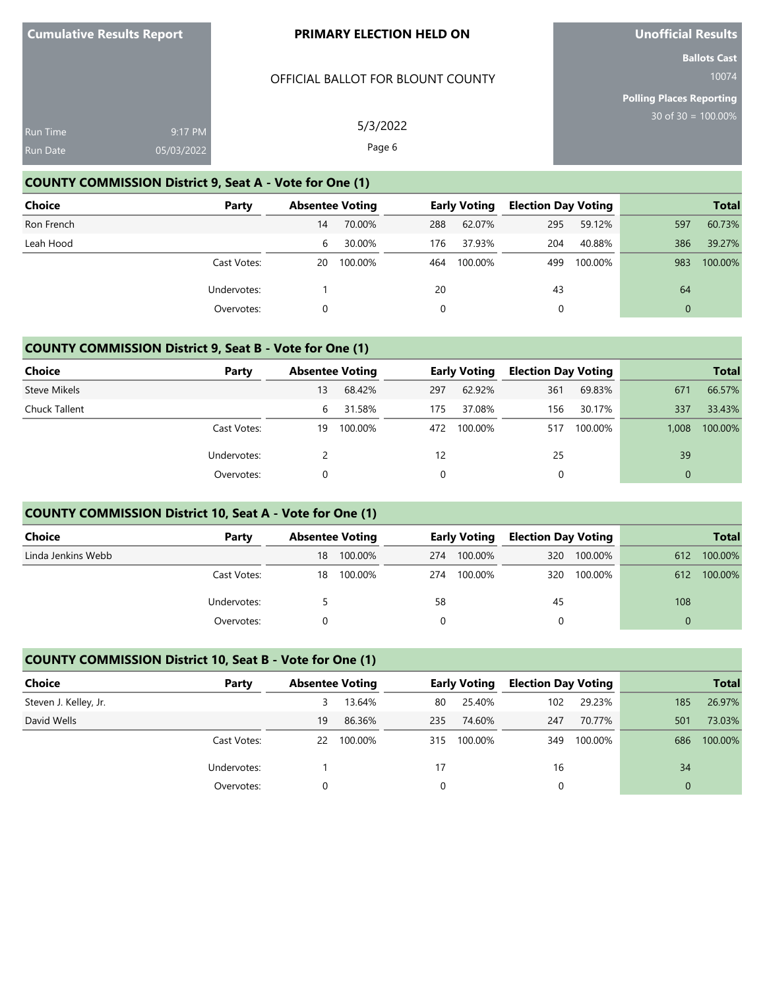# OFFICIAL BALLOT FOR BLOUNT COUNTY

**Unofficial Results**

**Ballots Cast** 10074

**Polling Places Reporting** 30 of 30 = 100.00%

| <b>Run Time</b> | 9:17 PM    | 5/3/2022 |
|-----------------|------------|----------|
| <b>Run Date</b> | 05/03/2022 | Page 6   |

# **COUNTY COMMISSION District 9, Seat A - Vote for One (1)**

| <b>Choice</b> | Party       | <b>Absentee Voting</b> |         |     | Early Voting | <b>Election Day Voting</b> |         |          | <b>Total</b> |
|---------------|-------------|------------------------|---------|-----|--------------|----------------------------|---------|----------|--------------|
| Ron French    |             | 14                     | 70.00%  | 288 | 62.07%       | 295                        | 59.12%  | 597      | 60.73%       |
| Leah Hood     |             | 6                      | 30.00%  | 176 | 37.93%       | 204                        | 40.88%  | 386      | 39.27%       |
|               | Cast Votes: | 20                     | 100.00% | 464 | 100.00%      | 499                        | 100.00% | 983      | 100.00%      |
|               | Undervotes: |                        |         | 20  |              | 43                         |         | 64       |              |
|               | Overvotes:  |                        |         |     |              | 0                          |         | $\Omega$ |              |

# **COUNTY COMMISSION District 9, Seat B - Vote for One (1)**

| <b>Choice</b> | Party       |    | <b>Absentee Voting</b> |     | <b>Early Voting</b> | <b>Election Day Voting</b> |         |          | <b>Total</b> |
|---------------|-------------|----|------------------------|-----|---------------------|----------------------------|---------|----------|--------------|
| Steve Mikels  |             | 13 | 68.42%                 | 297 | 62.92%              | 361                        | 69.83%  | 671      | 66.57%       |
| Chuck Tallent |             | 6  | 31.58%                 | 175 | 37.08%              | 156                        | 30.17%  | 337      | 33.43%       |
|               | Cast Votes: | 19 | 100.00%                | 472 | 100.00%             | 517                        | 100.00% | 1.008    | 100.00%      |
|               | Undervotes: |    |                        | 12  |                     | 25                         |         | 39       |              |
|               | Overvotes:  |    |                        | 0   |                     | 0                          |         | $\Omega$ |              |

# **COUNTY COMMISSION District 10, Seat A - Vote for One (1)**

| <b>Choice</b>      | Party       | <b>Absentee Voting</b> |         | <b>Early Voting</b> |         | <b>Election Day Voting</b> |         |     | <b>Total</b> |
|--------------------|-------------|------------------------|---------|---------------------|---------|----------------------------|---------|-----|--------------|
| Linda Jenkins Webb |             | 18                     | 100.00% | 274                 | 100.00% | 320                        | 100.00% | 612 | 100.00%      |
|                    | Cast Votes: | 18                     | 100.00% | 274                 | 100.00% | 320                        | 100.00% | 612 | 100.00%      |
|                    | Undervotes: |                        |         | 58                  |         | 45                         |         | 108 |              |
|                    | Overvotes:  |                        |         |                     |         |                            |         |     |              |

# **COUNTY COMMISSION District 10, Seat B - Vote for One (1)**

| Choice                | Party       | <b>Absentee Voting</b> |         |     | <b>Early Voting</b> | <b>Election Day Voting</b> |         |                | <b>Total</b> |
|-----------------------|-------------|------------------------|---------|-----|---------------------|----------------------------|---------|----------------|--------------|
| Steven J. Kelley, Jr. |             |                        | 13.64%  | 80  | 25.40%              | 102                        | 29.23%  | 185            | 26.97%       |
| David Wells           |             | 19                     | 86.36%  | 235 | 74.60%              | 247                        | 70.77%  | 501            | 73.03%       |
|                       | Cast Votes: | 22                     | 100.00% | 315 | 100.00%             | 349                        | 100.00% | 686            | 100.00%      |
|                       | Undervotes: |                        |         | 17  |                     | 16                         |         | 34             |              |
|                       | Overvotes:  |                        |         | 0   |                     |                            |         | $\overline{0}$ |              |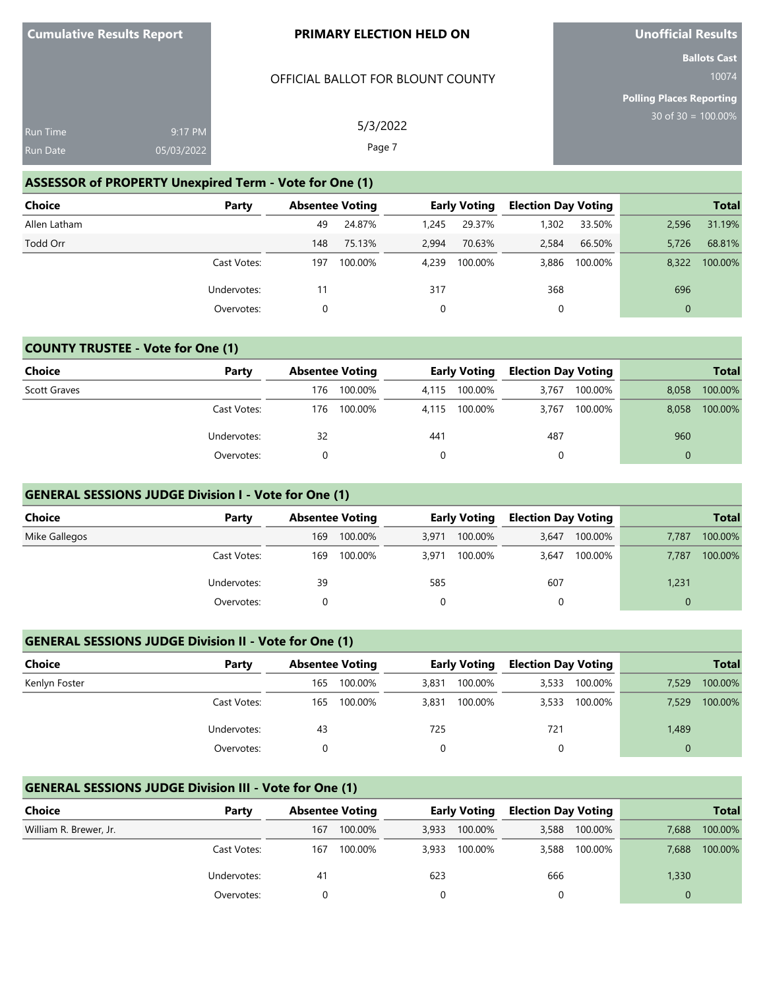# OFFICIAL BALLOT FOR BLOUNT COUNTY

**Unofficial Results**

**Ballots Cast** 10074

**Polling Places Reporting**

| <b>Run Time</b> | 9:17 PM    | 5/3/2022 | $30$ of $30 = 100$ |
|-----------------|------------|----------|--------------------|
| <b>Run Date</b> | 05/03/2022 | Page 7   |                    |

# **ASSESSOR of PROPERTY Unexpired Term - Vote for One (1)**

| Choice       | Party       | <b>Absentee Voting</b> |         |       | <b>Early Voting</b> | <b>Election Day Voting</b> |         |              | <b>Total</b> |
|--------------|-------------|------------------------|---------|-------|---------------------|----------------------------|---------|--------------|--------------|
| Allen Latham |             | 49                     | 24.87%  | 1.245 | 29.37%              | 1,302                      | 33.50%  | 2,596        | 31.19%       |
| Todd Orr     |             | 148                    | 75.13%  | 2,994 | 70.63%              | 2.584                      | 66.50%  | 5,726        | 68.81%       |
|              | Cast Votes: | 197                    | 100.00% | 4.239 | 100.00%             | 3,886                      | 100.00% | 8.322        | 100.00%      |
|              | Undervotes: | 11                     |         | 317   |                     | 368                        |         | 696          |              |
|              | Overvotes:  | 0                      |         |       |                     | 0                          |         | $\mathbf{0}$ |              |

# **COUNTY TRUSTEE - Vote for One (1)**

| <b>Choice</b>       | Party       | <b>Absentee Voting</b> |         | Early Voting |         | <b>Election Day Voting</b> |         |       | <b>Total</b> |
|---------------------|-------------|------------------------|---------|--------------|---------|----------------------------|---------|-------|--------------|
| <b>Scott Graves</b> |             | 176                    | 100.00% | 4.115        | 100.00% | 3.767                      | 100.00% | 8,058 | 100.00%      |
|                     | Cast Votes: | 176                    | 100.00% | 4.115        | 100.00% | 3.767                      | 100.00% | 8,058 | 100.00%      |
|                     | Undervotes: | 32                     |         | 441          |         | 487                        |         | 960   |              |
|                     | Overvotes:  |                        |         | 0            |         |                            |         |       |              |

### **GENERAL SESSIONS JUDGE Division I - Vote for One (1)**

| Choice        | Party       | <b>Absentee Voting</b> |         |       | <b>Early Voting</b> |       | <b>Election Day Voting</b> |       | <b>Total</b> |
|---------------|-------------|------------------------|---------|-------|---------------------|-------|----------------------------|-------|--------------|
| Mike Gallegos |             | 169                    | 100.00% | 3.971 | 100.00%             | 3.647 | 100.00%                    | 7.787 | 100.00%      |
|               | Cast Votes: | 169                    | 100.00% | 3.971 | 100.00%             | 3,647 | 100.00%                    | 7.787 | 100.00%      |
|               | Undervotes: | 39                     |         | 585   |                     | 607   |                            | 1,231 |              |
|               | Overvotes:  |                        |         |       |                     |       |                            |       |              |

# **GENERAL SESSIONS JUDGE Division II - Vote for One (1)**

| <b>Choice</b> | Party       | <b>Absentee Voting</b> |         |       | <b>Early Voting</b> |       | <b>Election Day Voting</b> | <b>Total</b> |         |  |
|---------------|-------------|------------------------|---------|-------|---------------------|-------|----------------------------|--------------|---------|--|
| Kenlyn Foster |             | 165                    | 100.00% | 3,831 | 100.00%             | 3,533 | 100.00%                    | 7,529        | 100.00% |  |
|               | Cast Votes: | 165                    | 100.00% | 3,831 | 100.00%             | 3,533 | 100.00%                    | 7,529        | 100.00% |  |
|               | Undervotes: | -43                    |         | 725   |                     | 721   |                            | 1,489        |         |  |
|               | Overvotes:  |                        |         |       |                     |       |                            |              |         |  |

# **GENERAL SESSIONS JUDGE Division III - Vote for One (1)**

| Choice                 | Party       | <b>Absentee Voting</b> |         |       | Early Voting |       | <b>Election Day Voting</b> |       | <b>Total</b> |
|------------------------|-------------|------------------------|---------|-------|--------------|-------|----------------------------|-------|--------------|
| William R. Brewer, Jr. |             | 167                    | 100.00% | 3,933 | 100.00%      | 3,588 | 100.00%                    | 7.688 | 100.00%      |
|                        | Cast Votes: | 167                    | 100.00% | 3,933 | 100.00%      | 3,588 | 100.00%                    | 7,688 | 100.00%      |
|                        | Undervotes: | 41                     |         | 623   |              | 666   |                            | 1,330 |              |
|                        | Overvotes:  |                        |         |       |              |       |                            | 0     |              |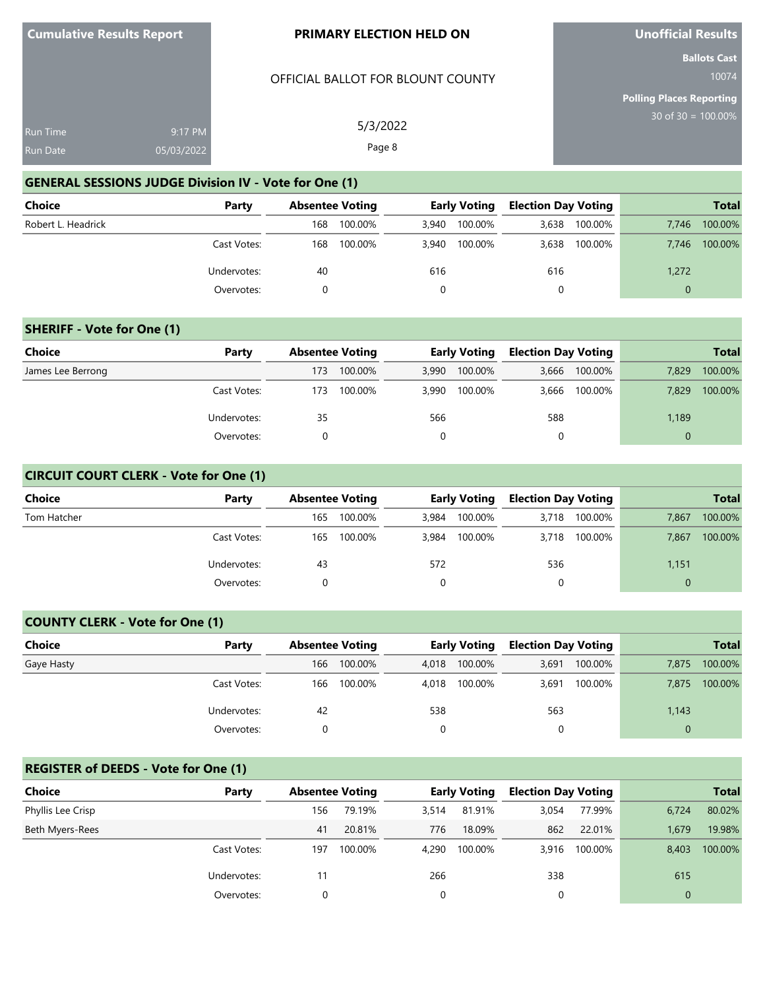# OFFICIAL BALLOT FOR BLOUNT COUNTY

5/3/2022 Page 8

**Unofficial Results**

**Ballots Cast** 10074

**Polling Places Reporting** 30 of 30 = 100.00%

| <b>Run Time</b> | 9:17 PM    |
|-----------------|------------|
| <b>Run Date</b> | 05/03/2022 |

# **GENERAL SESSIONS JUDGE Division IV - Vote for One (1)**

| <b>Choice</b>      | Party       | <b>Absentee Voting</b> |         | <b>Early Voting</b> |         | <b>Election Day Voting</b> |         | <b>Total</b> |         |
|--------------------|-------------|------------------------|---------|---------------------|---------|----------------------------|---------|--------------|---------|
| Robert L. Headrick |             | 168                    | 100.00% | 3.940               | 100.00% | 3.638                      | 100.00% | 7.746        | 100.00% |
|                    | Cast Votes: | 168                    | 100.00% | 3,940               | 100.00% | 3,638                      | 100.00% | 7.746        | 100.00% |
|                    | Undervotes: | 40                     |         | 616                 |         | 616                        |         | 1,272        |         |
|                    | Overvotes:  |                        |         |                     |         | 0                          |         |              |         |

# **SHERIFF - Vote for One (1)**

| Choice            | Party       | <b>Absentee Voting</b> |         | <b>Early Voting</b> |         | <b>Election Day Voting</b> |         |          | <b>Total</b> |
|-------------------|-------------|------------------------|---------|---------------------|---------|----------------------------|---------|----------|--------------|
| James Lee Berrong |             | 173                    | 100.00% | 3,990               | 100.00% | 3,666                      | 100.00% | 7.829    | 100.00%      |
|                   | Cast Votes: | 173                    | 100.00% | 3,990               | 100.00% | 3,666                      | 100.00% | 7.829    | 100.00%      |
|                   | Undervotes: | 35                     |         | 566                 |         | 588                        |         | 1,189    |              |
|                   | Overvotes:  |                        |         |                     |         |                            |         | $\Omega$ |              |

# **CIRCUIT COURT CLERK - Vote for One (1)**

| <b>Choice</b> | Party       | <b>Absentee Voting</b> |         | <b>Early Voting</b> |         | <b>Election Day Voting</b> |         |          | <b>Total</b> |
|---------------|-------------|------------------------|---------|---------------------|---------|----------------------------|---------|----------|--------------|
| Tom Hatcher   |             | 165                    | 100.00% | 3.984               | 100.00% | 3,718                      | 100.00% | 7.867    | 100.00%      |
|               | Cast Votes: | 165                    | 100.00% | 3,984               | 100.00% | 3,718                      | 100.00% | 7,867    | 100.00%      |
|               | Undervotes: | 43                     |         | 572                 |         | 536                        |         | 1,151    |              |
|               | Overvotes:  |                        |         |                     |         | 0                          |         | $\Omega$ |              |

# **COUNTY CLERK - Vote for One (1)**

| <b>Choice</b> | Party       | <b>Absentee Voting</b> |         | <b>Early Voting</b> |               | <b>Election Day Voting</b> |         |       | <b>Total</b> |
|---------------|-------------|------------------------|---------|---------------------|---------------|----------------------------|---------|-------|--------------|
| Gaye Hasty    |             | 166                    | 100.00% | 4,018               | 100.00%       | 3,691                      | 100.00% | 7.875 | 100.00%      |
|               | Cast Votes: | 166                    | 100.00% |                     | 4,018 100.00% | 3,691                      | 100.00% | 7,875 | 100.00%      |
|               | Undervotes: | 42                     |         | 538                 |               | 563                        |         | 1,143 |              |
|               | Overvotes:  |                        |         |                     |               |                            |         |       |              |

# **REGISTER of DEEDS - Vote for One (1)**

| Choice            | Party       |     | <b>Absentee Voting</b> |       | <b>Early Voting</b> | <b>Election Day Voting</b> |         |       | <b>Total</b> |
|-------------------|-------------|-----|------------------------|-------|---------------------|----------------------------|---------|-------|--------------|
| Phyllis Lee Crisp |             | 156 | 79.19%                 | 3.514 | 81.91%              | 3.054                      | 77.99%  | 6,724 | 80.02%       |
| Beth Myers-Rees   |             | 41  | 20.81%                 | 776   | 18.09%              | 862                        | 22.01%  | 1.679 | 19.98%       |
|                   | Cast Votes: | 197 | 100.00%                | 4,290 | 100.00%             | 3.916                      | 100.00% | 8,403 | 100.00%      |
|                   | Undervotes: |     |                        | 266   |                     | 338                        |         | 615   |              |
|                   | Overvotes:  |     |                        | 0     |                     |                            |         | 0     |              |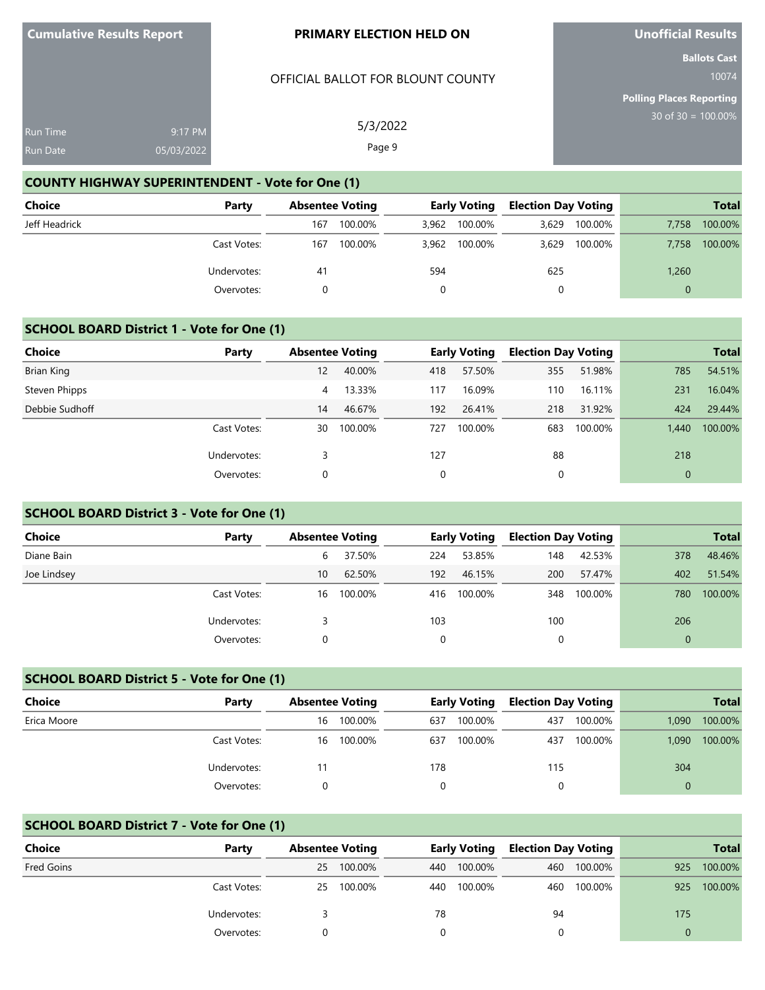# OFFICIAL BALLOT FOR BLOUNT COUNTY

5/3/2022 Page 9

**Unofficial Results**

**Ballots Cast** 10074

**Polling Places Reporting** 30 of 30 = 100.00%

| <b>Run Time</b> | 9:17 PM    |
|-----------------|------------|
| Run Date        | 05/03/2022 |

# **COUNTY HIGHWAY SUPERINTENDENT - Vote for One (1)**

| Choice        | Party       | <b>Absentee Voting</b> |         | <b>Early Voting</b> |         | <b>Election Day Voting</b> |         | <b>Total</b> |         |
|---------------|-------------|------------------------|---------|---------------------|---------|----------------------------|---------|--------------|---------|
| Jeff Headrick |             | 167                    | 100.00% | 3.962               | 100.00% | 3,629                      | 100.00% | 7.758        | 100.00% |
|               | Cast Votes: | 167                    | 100.00% | 3.962               | 100.00% | 3.629                      | 100.00% | 7.758        | 100.00% |
|               | Undervotes: | 41                     |         | 594                 |         | 625                        |         | 1,260        |         |
|               | Overvotes:  |                        |         |                     |         | 0                          |         | $\Omega$     |         |

# **SCHOOL BOARD District 1 - Vote for One (1)**

| <b>Choice</b>  | Party       |    | <b>Absentee Voting</b> |     | <b>Early Voting</b> | <b>Election Day Voting</b> |         |       | <b>Total</b> |
|----------------|-------------|----|------------------------|-----|---------------------|----------------------------|---------|-------|--------------|
| Brian King     |             | 12 | 40.00%                 | 418 | 57.50%              | 355                        | 51.98%  | 785   | 54.51%       |
| Steven Phipps  |             | 4  | 13.33%                 | 117 | 16.09%              | 110                        | 16.11%  | 231   | 16.04%       |
| Debbie Sudhoff |             | 14 | 46.67%                 | 192 | 26.41%              | 218                        | 31.92%  | 424   | 29.44%       |
|                | Cast Votes: | 30 | 100.00%                | 727 | 100.00%             | 683                        | 100.00% | 1.440 | 100.00%      |
|                | Undervotes: |    |                        | 127 |                     | 88                         |         | 218   |              |
|                | Overvotes:  | 0  |                        | 0   |                     | 0                          |         | 0     |              |

#### **SCHOOL BOARD District 3 - Vote for One (1)**

| Choice      | Party       | <b>Absentee Voting</b> |         |     | <b>Early Voting</b> | <b>Election Day Voting</b> |         |          | <b>Total</b> |
|-------------|-------------|------------------------|---------|-----|---------------------|----------------------------|---------|----------|--------------|
| Diane Bain  |             | 6                      | 37.50%  | 224 | 53.85%              | 148                        | 42.53%  | 378      | 48.46%       |
| Joe Lindsey |             | 10 <sup>°</sup>        | 62.50%  | 192 | 46.15%              | 200                        | 57.47%  | 402      | 51.54%       |
|             | Cast Votes: | 16                     | 100.00% | 416 | 100.00%             | 348                        | 100.00% | 780      | 100.00%      |
|             | Undervotes: |                        |         | 103 |                     | 100                        |         | 206      |              |
|             | Overvotes:  |                        |         |     |                     | $\Omega$                   |         | $\Omega$ |              |

#### **SCHOOL BOARD District 5 - Vote for One (1)**

| <b>Choice</b> | Party       | <b>Absentee Voting</b> |         | <b>Early Voting</b> |         | <b>Election Day Voting</b> |         | <b>Total</b> |         |
|---------------|-------------|------------------------|---------|---------------------|---------|----------------------------|---------|--------------|---------|
| Erica Moore   |             | 16                     | 100.00% | 637                 | 100.00% | 437                        | 100.00% | 1,090        | 100.00% |
|               | Cast Votes: | 16                     | 100.00% | 637                 | 100.00% | 437                        | 100.00% | 1,090        | 100.00% |
|               | Undervotes: |                        |         | 178                 |         | 115                        |         | 304          |         |
|               | Overvotes:  |                        |         |                     |         | 0                          |         | $\Omega$     |         |

# **SCHOOL BOARD District 7 - Vote for One (1)**

| Choice     | Party       |    | <b>Absentee Voting</b> | <b>Early Voting</b> |         | <b>Election Day Voting</b> |             |     | <b>Total</b> |
|------------|-------------|----|------------------------|---------------------|---------|----------------------------|-------------|-----|--------------|
| Fred Goins |             | 25 | 100.00%                | 440                 | 100.00% | 460                        | 100.00%     | 925 | 100.00%      |
|            | Cast Votes: | 25 | 100.00%                | 440                 | 100.00% |                            | 460 100.00% | 925 | 100.00%      |
|            | Undervotes: |    |                        | 78                  |         | 94                         |             | 175 |              |
|            | Overvotes:  |    |                        |                     |         |                            |             | 0   |              |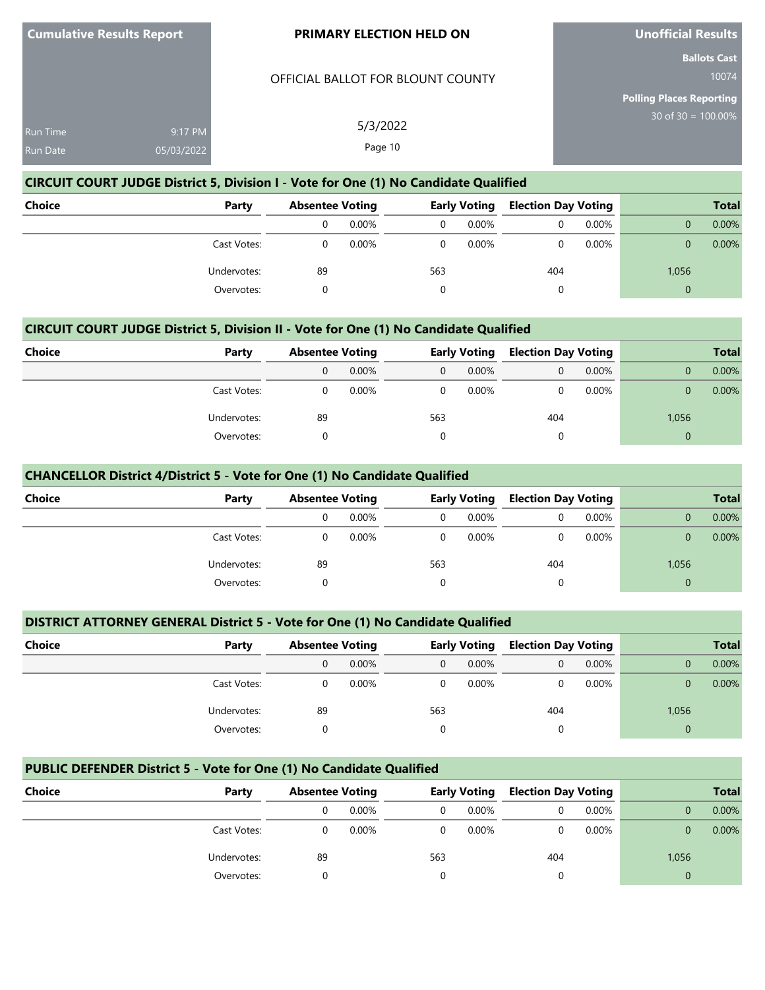#### OFFICIAL BALLOT FOR BLOUNT COUNTY

5/3/2022 Page 10

**Unofficial Results**

**Ballots Cast** 10074

**Polling Places Reporting** 30 of 30 = 100.00%

| <b>Run Time</b> | 9:17 PM    |
|-----------------|------------|
| Run Date        | 05/03/2022 |

# **CIRCUIT COURT JUDGE District 5, Division I - Vote for One (1) No Candidate Qualified**

| <b>Choice</b> | Party       |    | <b>Absentee Voting</b> |     | <b>Early Voting</b> |     | <b>Election Day Voting</b> |          | <b>Total</b> |
|---------------|-------------|----|------------------------|-----|---------------------|-----|----------------------------|----------|--------------|
|               |             | 0  | 0.00%                  | 0   | 0.00%               | 0   | 0.00%                      |          | 0.00%        |
|               | Cast Votes: |    | 0.00%                  |     | $0.00\%$            |     | 0.00%                      | 0        | 0.00%        |
|               | Undervotes: | 89 |                        | 563 |                     | 404 |                            | 1,056    |              |
|               | Overvotes:  |    |                        |     |                     | 0   |                            | $\Omega$ |              |

# **CIRCUIT COURT JUDGE District 5, Division II - Vote for One (1) No Candidate Qualified**

| <b>Choice</b> | Party       |    | <b>Absentee Voting</b> |              | <b>Early Voting</b> |     | <b>Election Day Voting</b> |       | <b>Total</b> |
|---------------|-------------|----|------------------------|--------------|---------------------|-----|----------------------------|-------|--------------|
|               |             | 0  | $0.00\%$               | $\mathbf{0}$ | $0.00\%$            |     | $0.00\%$                   |       | 0.00%        |
|               | Cast Votes: |    | $0.00\%$               | $\Omega$     | $0.00\%$            |     | 0.00%                      |       | $0.00\%$     |
|               | Undervotes: | 89 |                        | 563          |                     | 404 |                            | 1,056 |              |
|               | Overvotes:  |    |                        | $\Omega$     |                     |     |                            | 0     |              |

#### **CHANCELLOR District 4/District 5 - Vote for One (1) No Candidate Qualified**

| <b>Choice</b><br>Party |    | <b>Absentee Voting</b> |     | <b>Early Voting</b> |     | <b>Election Day Voting</b> | <b>Total</b> |       |
|------------------------|----|------------------------|-----|---------------------|-----|----------------------------|--------------|-------|
|                        |    | 0.00%                  | 0   | $0.00\%$            |     | $0.00\%$                   |              | 0.00% |
| Cast Votes:            |    | $0.00\%$               | 0   | $0.00\%$            |     | 0.00%                      |              | 0.00% |
| Undervotes:            | 89 |                        | 563 |                     | 404 |                            | 1,056        |       |
| Overvotes:             |    |                        | 0   |                     | 0   |                            | $\Omega$     |       |

# **DISTRICT ATTORNEY GENERAL District 5 - Vote for One (1) No Candidate Qualified**

| Choice<br>Party |    | <b>Absentee Voting</b> |          | <b>Early Voting</b> |     | <b>Election Day Voting</b> |       | <b>Total</b> |
|-----------------|----|------------------------|----------|---------------------|-----|----------------------------|-------|--------------|
|                 |    | $0.00\%$               | $\Omega$ | $0.00\%$            |     | $0.00\%$                   |       | 0.00%        |
| Cast Votes:     |    | $0.00\%$               | 0        | 0.00%               |     | 0.00%                      |       | 0.00%        |
| Undervotes:     | 89 |                        | 563      |                     | 404 |                            | 1,056 |              |
| Overvotes:      |    |                        |          |                     |     |                            | 0     |              |

# **PUBLIC DEFENDER District 5 - Vote for One (1) No Candidate Qualified**

| Choice | Party       |    | <b>Absentee Voting</b> |     | <b>Early Voting</b> |     | <b>Election Day Voting</b> |          | <b>Total</b> |
|--------|-------------|----|------------------------|-----|---------------------|-----|----------------------------|----------|--------------|
|        |             |    | $0.00\%$               |     | $0.00\%$            |     | $0.00\%$                   |          | $0.00\%$     |
|        | Cast Votes: |    | $0.00\%$               |     | $0.00\%$            |     | $0.00\%$                   |          | $0.00\%$     |
|        | Undervotes: | 89 |                        | 563 |                     | 404 |                            | 1,056    |              |
|        | Overvotes:  |    |                        |     |                     |     |                            | $\Omega$ |              |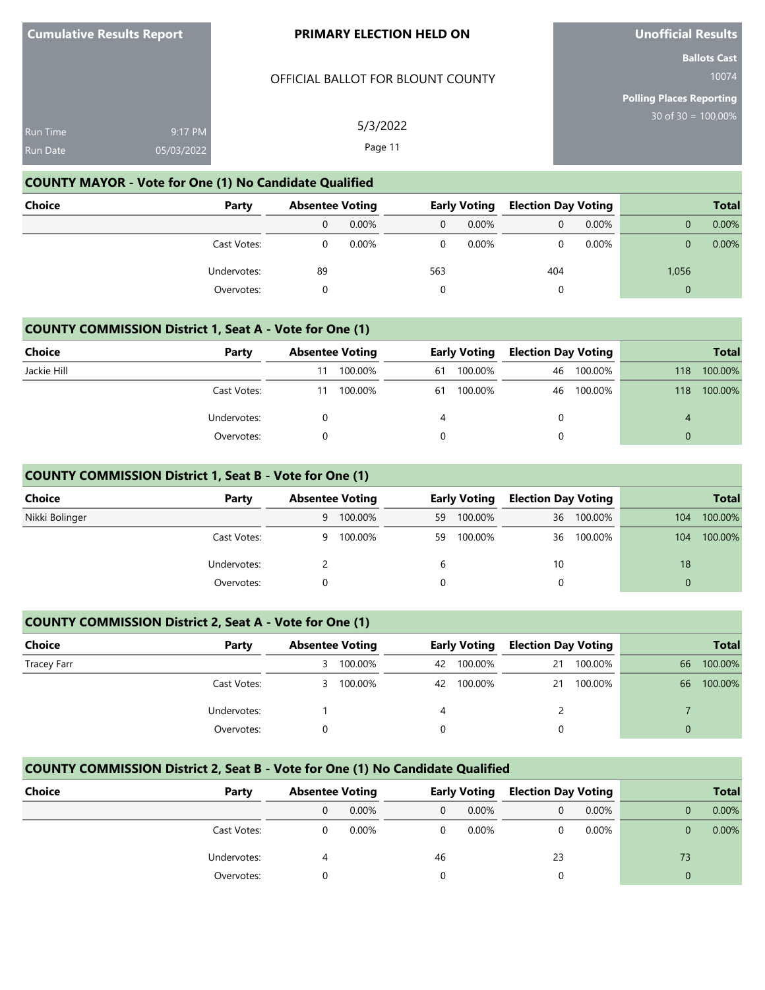# OFFICIAL BALLOT FOR BLOUNT COUNTY

5/3/2022 Page 11

**Unofficial Results**

**Ballots Cast** 10074

**Polling Places Reporting** 30 of 30 = 100.00%

| Run Time        | $9:17 \text{ PM}$ |
|-----------------|-------------------|
| <b>Run Date</b> | 05/03/2022        |

# **COUNTY MAYOR - Vote for One (1) No Candidate Qualified**

| <b>Choice</b> | Party       | <b>Absentee Voting</b> |       | <b>Early Voting</b> |          | <b>Election Day Voting</b> |       |          | <b>Total</b> |
|---------------|-------------|------------------------|-------|---------------------|----------|----------------------------|-------|----------|--------------|
|               |             | 0                      | 0.00% | $\Omega$            | $0.00\%$ | 0                          | 0.00% |          | 0.00%        |
|               | Cast Votes: |                        | 0.00% |                     | $0.00\%$ |                            | 0.00% |          | 0.00%        |
|               | Undervotes: | 89                     |       | 563                 |          | 404                        |       | 1,056    |              |
|               | Overvotes:  |                        |       |                     |          | 0                          |       | $\Omega$ |              |

#### **COUNTY COMMISSION District 1, Seat A - Vote for One (1)**

| <b>Choice</b> | Party       |    | <b>Absentee Voting</b> |    | <b>Early Voting</b> |    | <b>Election Day Voting</b> |     | <b>Total</b> |
|---------------|-------------|----|------------------------|----|---------------------|----|----------------------------|-----|--------------|
| Jackie Hill   |             | 11 | 100.00%                | 61 | 100.00%             | 46 | 100.00%                    | 118 | 100.00%      |
|               | Cast Votes: | 11 | 100.00%                | 61 | 100.00%             |    | 46 100.00%                 | 118 | 100.00%      |
|               | Undervotes: |    |                        | 4  |                     |    |                            |     |              |
|               | Overvotes:  |    |                        |    |                     |    |                            |     |              |

# **COUNTY COMMISSION District 1, Seat B - Vote for One (1)**

| <b>Choice</b>  | Party       |   | <b>Absentee Voting</b> |    | <b>Early Voting</b> |    | <b>Election Day Voting</b> |          | <b>Total</b> |
|----------------|-------------|---|------------------------|----|---------------------|----|----------------------------|----------|--------------|
| Nikki Bolinger |             | 9 | 100.00%                | 59 | 100.00%             | 36 | 100.00%                    | 104      | 100.00%      |
|                | Cast Votes: | 9 | 100.00%                | 59 | 100.00%             | 36 | 100.00%                    | 104      | 100.00%      |
|                | Undervotes: |   |                        | b  |                     | 10 |                            | 18       |              |
|                | Overvotes:  |   |                        |    |                     |    |                            | $\Omega$ |              |

# **COUNTY COMMISSION District 2, Seat A - Vote for One (1)**

| Choice             | Party       | <b>Absentee Voting</b> |         | <b>Early Voting</b> |         | <b>Election Day Voting</b> |         |    | <b>Total</b> |
|--------------------|-------------|------------------------|---------|---------------------|---------|----------------------------|---------|----|--------------|
| <b>Tracey Farr</b> |             | 3                      | 100.00% | 42                  | 100.00% | 21                         | 100.00% | 66 | 100.00%      |
|                    | Cast Votes: | 3.                     | 100.00% | 42                  | 100.00% | 21                         | 100.00% | 66 | 100.00%      |
|                    | Undervotes: |                        |         |                     |         |                            |         |    |              |
|                    | Overvotes:  |                        |         |                     |         |                            |         | 0  |              |

# **COUNTY COMMISSION District 2, Seat B - Vote for One (1) No Candidate Qualified**

| Choice | Party       | <b>Absentee Voting</b> |    | <b>Early Voting</b> |    | <b>Election Day Voting</b> | <b>Total</b> |          |
|--------|-------------|------------------------|----|---------------------|----|----------------------------|--------------|----------|
|        |             | $0.00\%$               |    | $0.00\%$            |    | 0.00%                      |              | $0.00\%$ |
|        | Cast Votes: | $0.00\%$               |    | $0.00\%$            |    | 0.00%                      |              | $0.00\%$ |
|        | Undervotes: |                        | 46 |                     | 23 |                            | 73           |          |
|        | Overvotes:  |                        |    |                     |    |                            | 0            |          |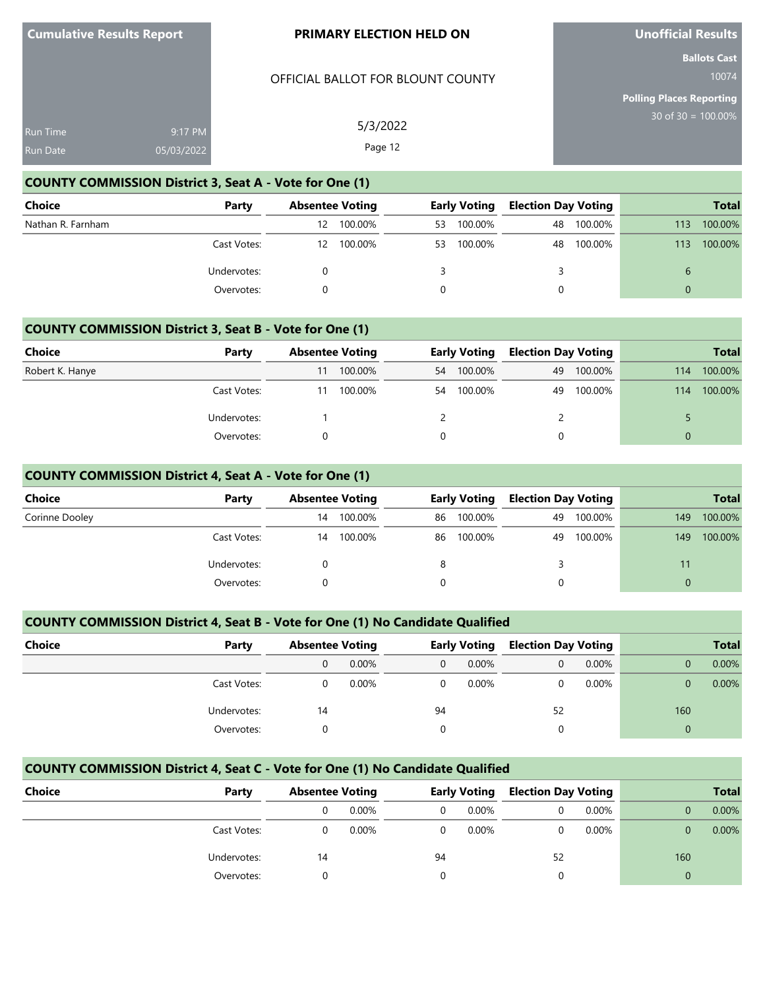#### OFFICIAL BALLOT FOR BLOUNT COUNTY

5/3/2022 Page 12

**Unofficial Results**

**Ballots Cast** 10074

**Polling Places Reporting** 30 of 30 = 100.00%

| Run Time        | $9:17$ PM  |
|-----------------|------------|
| <b>Run Date</b> | 05/03/2022 |

# **COUNTY COMMISSION District 3, Seat A - Vote for One (1)**

| Choice            | Party       |    | <b>Absentee Voting</b> |    | <b>Early Voting</b> |    | <b>Election Day Voting</b> | <b>Total</b> |         |
|-------------------|-------------|----|------------------------|----|---------------------|----|----------------------------|--------------|---------|
| Nathan R. Farnham |             | 12 | 100.00%                | 53 | 100.00%             | 48 | 100.00%                    | 113          | 100.00% |
|                   | Cast Votes: | 12 | 100.00%                | 53 | 100.00%             | 48 | 100.00%                    | 113          | 100.00% |
|                   | Undervotes: |    |                        |    |                     |    |                            |              |         |
|                   | Overvotes:  |    |                        |    |                     | 0  |                            | $\Omega$     |         |

#### **COUNTY COMMISSION District 3, Seat B - Vote for One (1)**

| Choice          | Party       | <b>Absentee Voting</b> |         |          | <b>Early Voting</b> |    | <b>Election Day Voting</b> | <b>Total</b> |         |
|-----------------|-------------|------------------------|---------|----------|---------------------|----|----------------------------|--------------|---------|
| Robert K. Hanye |             | 11                     | 100.00% | 54       | 100.00%             | 49 | 100.00%                    | 114          | 100.00% |
|                 | Cast Votes: |                        | 100.00% | 54       | 100.00%             | 49 | 100.00%                    | 114          | 100.00% |
|                 | Undervotes: |                        |         |          |                     |    |                            |              |         |
|                 | Overvotes:  |                        |         | $\Omega$ |                     |    |                            |              |         |

# **COUNTY COMMISSION District 4, Seat A - Vote for One (1)**

| <b>Choice</b>  | Party       | <b>Absentee Voting</b> |         | <b>Early Voting</b> |         | <b>Election Day Voting</b> |         | <b>Total</b> |         |
|----------------|-------------|------------------------|---------|---------------------|---------|----------------------------|---------|--------------|---------|
| Corinne Dooley |             | 14                     | 100.00% | 86                  | 100.00% | 49                         | 100.00% | 149          | 100.00% |
|                | Cast Votes: | 14                     | 100.00% | 86                  | 100.00% | 49                         | 100.00% | 149          | 100.00% |
|                | Undervotes: |                        |         | 8                   |         |                            |         |              |         |
|                | Overvotes:  |                        |         |                     |         | 0                          |         | $\Omega$     |         |

# **COUNTY COMMISSION District 4, Seat B - Vote for One (1) No Candidate Qualified**

| Choice<br>Party |    | <b>Absentee Voting</b> |          | <b>Early Voting</b> |    | <b>Election Day Voting</b> |     | <b>Total</b> |
|-----------------|----|------------------------|----------|---------------------|----|----------------------------|-----|--------------|
|                 |    | $0.00\%$               | $\Omega$ | $0.00\%$            |    | $0.00\%$                   |     | 0.00%        |
| Cast Votes:     |    | $0.00\%$               | 0        | 0.00%               |    | 0.00%                      |     | 0.00%        |
| Undervotes:     | 14 |                        | 94       |                     | 52 |                            | 160 |              |
| Overvotes:      |    |                        |          |                     |    |                            | 0   |              |

# **COUNTY COMMISSION District 4, Seat C - Vote for One (1) No Candidate Qualified**

| Choice | Party       |    | <b>Absentee Voting</b> |    | <b>Early Voting</b> |    | <b>Election Day Voting</b> | <b>Total</b> |          |
|--------|-------------|----|------------------------|----|---------------------|----|----------------------------|--------------|----------|
|        |             |    | $0.00\%$               |    | $0.00\%$            |    | 0.00%                      |              | $0.00\%$ |
|        | Cast Votes: |    | $0.00\%$               |    | $0.00\%$            |    | 0.00%                      |              | $0.00\%$ |
|        | Undervotes: | 14 |                        | 94 |                     | 52 |                            | 160          |          |
|        | Overvotes:  |    |                        |    |                     |    |                            |              |          |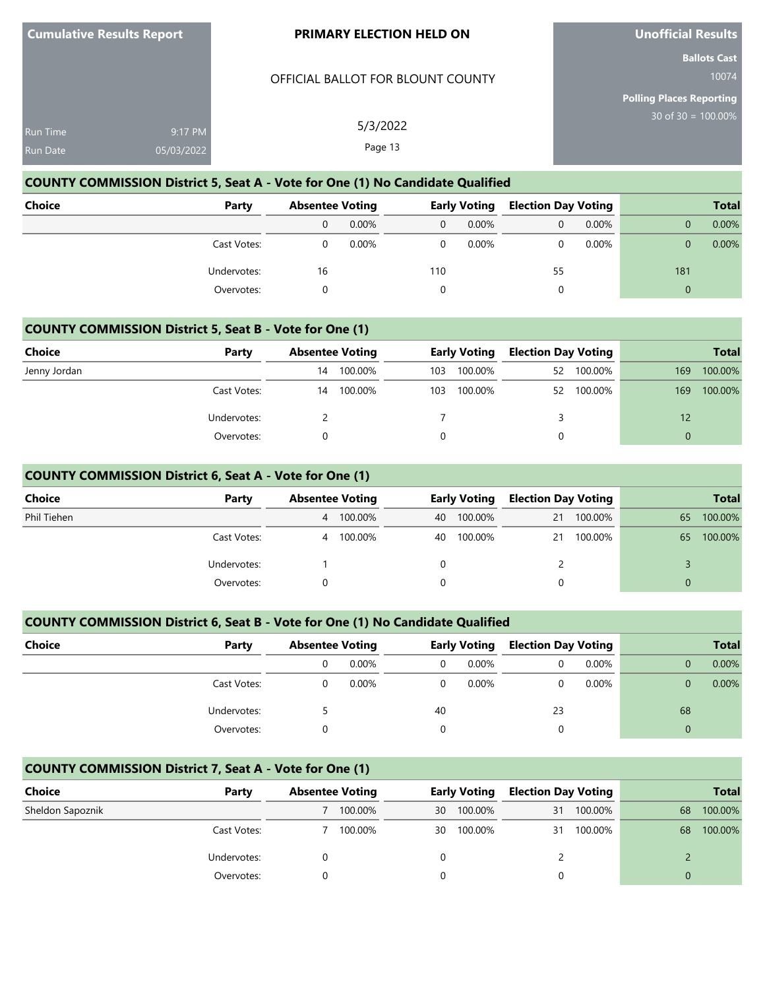### OFFICIAL BALLOT FOR BLOUNT COUNTY

5/3/2022 Page 13

**Unofficial Results**

**Ballots Cast** 10074

**Polling Places Reporting** 30 of 30 = 100.00%

| <b>Run Time</b> | $9:17 \, \text{PM}$ |
|-----------------|---------------------|
| <b>Run Date</b> | 05/03/2022          |

# **COUNTY COMMISSION District 5, Seat A - Vote for One (1) No Candidate Qualified**

| <b>Choice</b> | Party       |    | <b>Absentee Voting</b> |          | Early Voting |    | <b>Election Day Voting</b> | <b>Total</b> |       |
|---------------|-------------|----|------------------------|----------|--------------|----|----------------------------|--------------|-------|
|               |             | 0  | 0.00%                  | $\Omega$ | $0.00\%$     | 0  | 0.00%                      |              | 0.00% |
|               | Cast Votes: |    | $0.00\%$               | 0        | $0.00\%$     | 0  | $0.00\%$                   | 0            | 0.00% |
|               | Undervotes: | 16 |                        | 110      |              | 55 |                            | 181          |       |
|               | Overvotes:  |    |                        |          |              | 0  |                            | $\Omega$     |       |

#### **COUNTY COMMISSION District 5, Seat B - Vote for One (1)**

| <b>Choice</b> | Party       | <b>Absentee Voting</b> |         | <b>Early Voting</b> |         | <b>Election Day Voting</b> |         |                   | <b>Total</b> |
|---------------|-------------|------------------------|---------|---------------------|---------|----------------------------|---------|-------------------|--------------|
| Jenny Jordan  |             | 14                     | 100.00% | 103                 | 100.00% | 52                         | 100.00% | 169               | 100.00%      |
|               | Cast Votes: | 14                     | 100.00% | 103                 | 100.00% | 52                         | 100.00% | 169               | 100.00%      |
|               | Undervotes: |                        |         |                     |         |                            |         | $12 \overline{ }$ |              |
|               | Overvotes:  |                        |         |                     |         | 0                          |         | $\Omega$          |              |

# **COUNTY COMMISSION District 6, Seat A - Vote for One (1)**

| <b>Choice</b> | Party       | <b>Absentee Voting</b> |         |    | <b>Early Voting</b> | <b>Election Day Voting</b> |         |          | <b>Total</b> |
|---------------|-------------|------------------------|---------|----|---------------------|----------------------------|---------|----------|--------------|
| Phil Tiehen   |             | 4                      | 100.00% | 40 | 100.00%             | 21                         | 100.00% | 65       | 100.00%      |
|               | Cast Votes: | 4                      | 100.00% | 40 | 100.00%             | 21                         | 100.00% | 65       | 100.00%      |
|               | Undervotes: |                        |         |    |                     |                            |         |          |              |
|               | Overvotes:  |                        |         |    |                     | 0                          |         | $\Omega$ |              |

# **COUNTY COMMISSION District 6, Seat B - Vote for One (1) No Candidate Qualified**

| <b>Choice</b><br>Party | <b>Absentee Voting</b> |    | <b>Early Voting</b> |    | <b>Election Day Voting</b> |    | <b>Total</b> |
|------------------------|------------------------|----|---------------------|----|----------------------------|----|--------------|
|                        | $0.00\%$               |    | 0.00%               |    | $0.00\%$                   |    | 0.00%        |
| Cast Votes:            | $0.00\%$               |    | 0.00%               |    | $0.00\%$                   |    | 0.00%        |
| Undervotes:            |                        | 40 |                     | 23 |                            | 68 |              |
| Overvotes:             |                        |    |                     |    |                            | 0  |              |

# **COUNTY COMMISSION District 7, Seat A - Vote for One (1)**

| Choice           | Party       | <b>Absentee Voting</b> |    | <b>Early Voting</b> | <b>Election Day Voting</b> |         |    | <b>Total</b> |
|------------------|-------------|------------------------|----|---------------------|----------------------------|---------|----|--------------|
| Sheldon Sapoznik |             | 100.00%                | 30 | 100.00%             | 31                         | 100.00% | 68 | 100.00%      |
|                  | Cast Votes: | 100.00%                | 30 | 100.00%             | 31                         | 100.00% | 68 | 100.00%      |
|                  | Undervotes: |                        |    |                     |                            |         |    |              |
|                  | Overvotes:  |                        |    |                     |                            |         |    |              |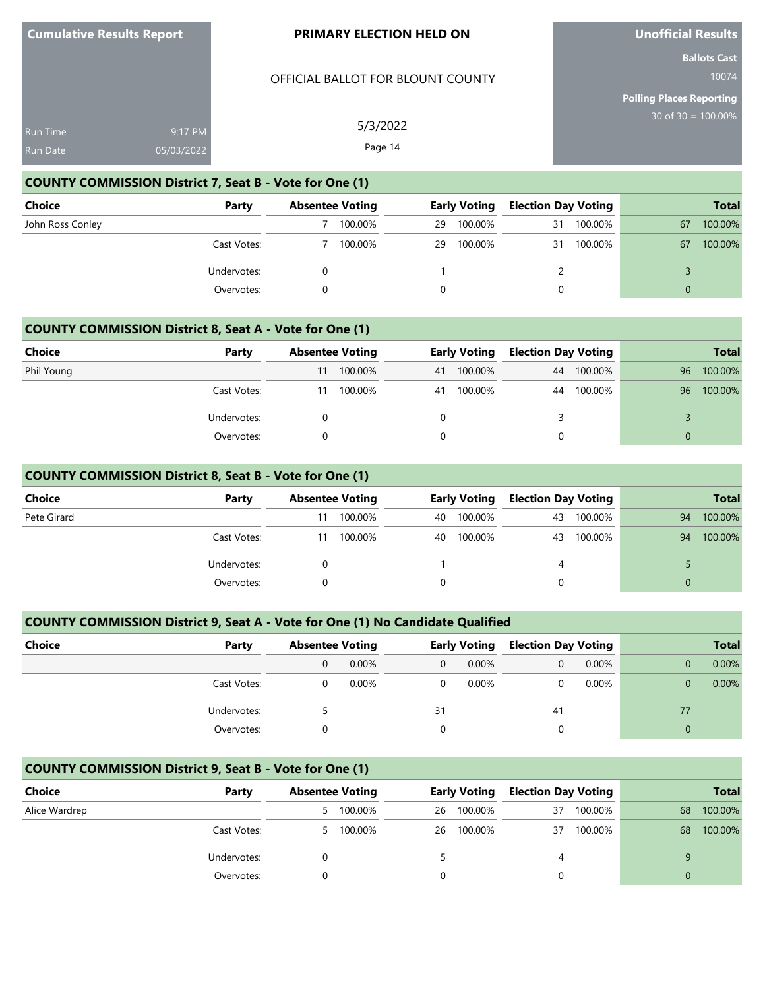# OFFICIAL BALLOT FOR BLOUNT COUNTY

5/3/2022 Page 14

**Unofficial Results**

**Ballots Cast** 10074

**Polling Places Reporting** 30 of 30 = 100.00%

| <b>Run Time</b> | 9:17 PM    |  |
|-----------------|------------|--|
| Run Date        | 05/03/2022 |  |

# **COUNTY COMMISSION District 7, Seat B - Vote for One (1)**

| Choice           | Party       | <b>Absentee Voting</b> |         |    | <b>Early Voting</b> | <b>Election Day Voting</b> |         |    | <b>Total</b> |
|------------------|-------------|------------------------|---------|----|---------------------|----------------------------|---------|----|--------------|
| John Ross Conley |             |                        | 100.00% | 29 | 100.00%             | 31                         | 100.00% | 67 | 100.00%      |
|                  | Cast Votes: |                        | 100.00% | 29 | 100.00%             | 31                         | 100.00% | 67 | 100.00%      |
|                  | Undervotes: |                        |         |    |                     |                            |         |    |              |
|                  | Overvotes:  |                        |         |    |                     |                            |         |    |              |

#### **COUNTY COMMISSION District 8, Seat A - Vote for One (1)**

| Choice     | Party       |    | <b>Absentee Voting</b> |    | <b>Early Voting</b> |    | <b>Election Day Voting</b> |    | <b>Total</b> |
|------------|-------------|----|------------------------|----|---------------------|----|----------------------------|----|--------------|
| Phil Young |             | 11 | 100.00%                | 41 | 100.00%             | 44 | 100.00%                    | 96 | 100.00%      |
|            | Cast Votes: | 11 | 100.00%                | 41 | 100.00%             | 44 | 100.00%                    | 96 | 100.00%      |
|            | Undervotes: |    |                        |    |                     |    |                            |    |              |
|            | Overvotes:  |    |                        |    |                     |    |                            |    |              |

# **COUNTY COMMISSION District 8, Seat B - Vote for One (1)**

| <b>Choice</b> | Party       |    | <b>Absentee Voting</b> |    | <b>Early Voting</b> |    | <b>Election Day Voting</b> |          | <b>Total</b> |
|---------------|-------------|----|------------------------|----|---------------------|----|----------------------------|----------|--------------|
| Pete Girard   |             |    | 100.00%                | 40 | 100.00%             | 43 | 100.00%                    | 94       | 100.00%      |
|               | Cast Votes: | 11 | 100.00%                | 40 | 100.00%             | 43 | 100.00%                    | 94       | 100.00%      |
|               | Undervotes: |    |                        |    |                     | 4  |                            |          |              |
|               | Overvotes:  |    |                        |    |                     | 0  |                            | $\Omega$ |              |

# **COUNTY COMMISSION District 9, Seat A - Vote for One (1) No Candidate Qualified**

| Choice<br>Party | <b>Absentee Voting</b> |    | <b>Early Voting</b> |     | <b>Election Day Voting</b> |    | <b>Total</b> |
|-----------------|------------------------|----|---------------------|-----|----------------------------|----|--------------|
|                 | $0.00\%$               |    | 0.00%               |     | 0.00%                      |    | $0.00\%$     |
| Cast Votes:     | $0.00\%$               |    | 0.00%               |     | 0.00%                      |    | $0.00\%$     |
| Undervotes:     |                        | 31 |                     | -41 |                            | 77 |              |
| Overvotes:      |                        |    |                     |     |                            | 0  |              |

# **COUNTY COMMISSION District 9, Seat B - Vote for One (1)**

| Choice        | Party       |    | <b>Absentee Voting</b> |    | <b>Early Voting</b> |    | <b>Election Day Voting</b> |    |         | <b>Total</b> |
|---------------|-------------|----|------------------------|----|---------------------|----|----------------------------|----|---------|--------------|
| Alice Wardrep |             | 5  | 100.00%                | 26 | 100.00%             | 37 | 100.00%                    | 68 | 100.00% |              |
|               | Cast Votes: | 5. | 100.00%                | 26 | 100.00%             | 37 | 100.00%                    | 68 | 100.00% |              |
|               | Undervotes: |    |                        |    |                     | 4  |                            |    |         |              |
|               | Overvotes:  |    |                        |    |                     |    |                            |    |         |              |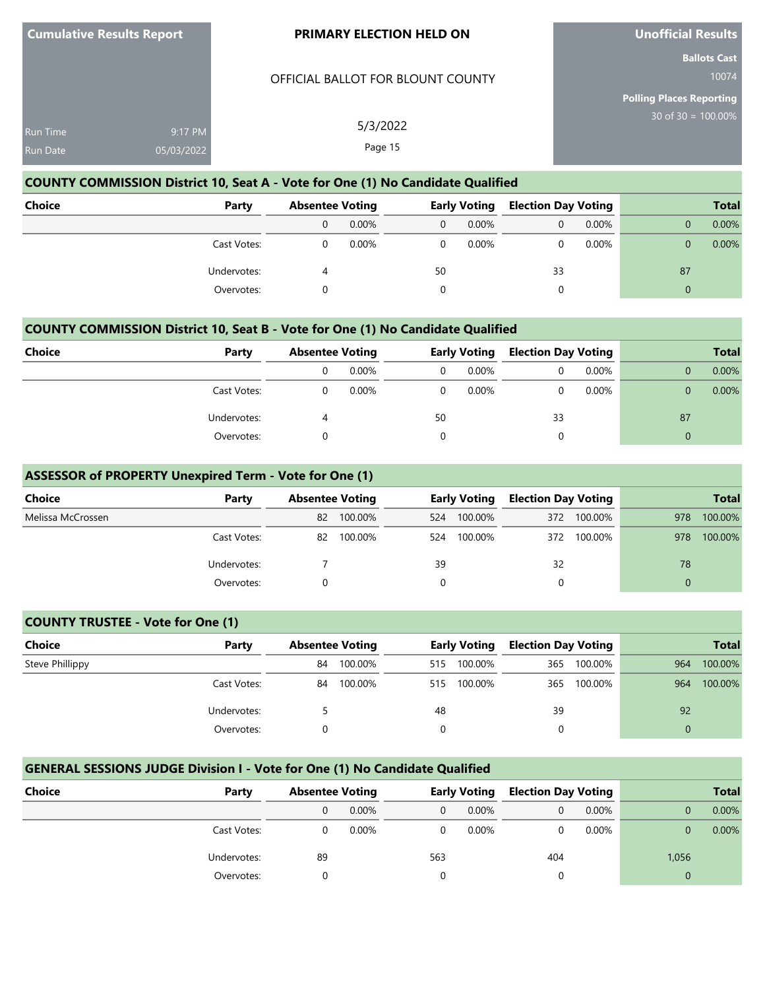#### OFFICIAL BALLOT FOR BLOUNT COUNTY

5/3/2022 Page 15

**Unofficial Results**

**Ballots Cast** 10074

**Polling Places Reporting** 30 of 30 = 100.00%

| <b>Run Time</b> | $9:17$ PM. |
|-----------------|------------|
| Run Date        | 05/03/2022 |

# **COUNTY COMMISSION District 10, Seat A - Vote for One (1) No Candidate Qualified**

| <b>Choice</b><br>Party |   | <b>Absentee Voting</b> |    | <b>Early Voting</b> |    | <b>Election Day Voting</b> |    | <b>Total</b> |
|------------------------|---|------------------------|----|---------------------|----|----------------------------|----|--------------|
|                        | 0 | $0.00\%$               | 0  | $0.00\%$            | 0  | 0.00%                      |    | 0.00%        |
| Cast Votes:            |   | $0.00\%$               | 0  | $0.00\%$            | 0  | 0.00%                      |    | 0.00%        |
| Undervotes:            | 4 |                        | 50 |                     | 33 |                            | 87 |              |
| Overvotes:             |   |                        |    |                     | 0  |                            | 0  |              |

# **COUNTY COMMISSION District 10, Seat B - Vote for One (1) No Candidate Qualified**

| Choice | Party       |   | <b>Absentee Voting</b> |    | <b>Early Voting</b> |    | <b>Election Day Voting</b> |    | <b>Total</b> |
|--------|-------------|---|------------------------|----|---------------------|----|----------------------------|----|--------------|
|        |             | 0 | $0.00\%$               | 0  | $0.00\%$            |    | $0.00\%$                   |    | 0.00%        |
|        | Cast Votes: |   | 0.00%                  | 0  | $0.00\%$            |    | 0.00%                      |    | $0.00\%$     |
|        | Undervotes: |   |                        | 50 |                     | 33 |                            | 87 |              |
|        | Overvotes:  |   |                        |    |                     |    |                            | 0  |              |

### **ASSESSOR of PROPERTY Unexpired Term - Vote for One (1)**

| <b>Choice</b>     | Party       | <b>Absentee Voting</b> |         |     | <b>Early Voting</b> |     | <b>Election Day Voting</b> |     | <b>Total</b> |
|-------------------|-------------|------------------------|---------|-----|---------------------|-----|----------------------------|-----|--------------|
| Melissa McCrossen |             | 82                     | 100.00% | 524 | 100.00%             |     | 372 100.00%                | 978 | 100.00%      |
|                   | Cast Votes: | 82                     | 100.00% | 524 | 100.00%             | 372 | 100.00%                    | 978 | 100.00%      |
|                   | Undervotes: |                        |         | 39  |                     | 32  |                            | 78  |              |
|                   | Overvotes:  |                        |         |     |                     |     |                            |     |              |

#### **COUNTY TRUSTEE - Vote for One (1)**

| Choice          | Party       | <b>Absentee Voting</b> |         |     | <b>Early Voting</b> | <b>Election Day Voting</b> |         |          | <b>Total</b> |
|-----------------|-------------|------------------------|---------|-----|---------------------|----------------------------|---------|----------|--------------|
| Steve Phillippy |             | 84                     | 100.00% | 515 | 100.00%             | 365                        | 100.00% | 964      | 100.00%      |
|                 | Cast Votes: | 84                     | 100.00% | 515 | 100.00%             | 365                        | 100.00% | 964      | 100.00%      |
|                 | Undervotes: |                        |         | 48  |                     | 39                         |         | 92       |              |
|                 | Overvotes:  |                        |         | 0   |                     |                            |         | $\Omega$ |              |

# **GENERAL SESSIONS JUDGE Division I - Vote for One (1) No Candidate Qualified**

| Choice | Party       | <b>Absentee Voting</b> |          |     | <b>Early Voting</b> | <b>Election Day Voting</b> |          |       | <b>Total</b> |
|--------|-------------|------------------------|----------|-----|---------------------|----------------------------|----------|-------|--------------|
|        |             |                        | $0.00\%$ | 0   | 0.00%               |                            | $0.00\%$ |       | 0.00%        |
|        | Cast Votes: |                        | $0.00\%$ | 0   | $0.00\%$            |                            | $0.00\%$ |       | $0.00\%$     |
|        | Undervotes: | 89                     |          | 563 |                     | 404                        |          | 1,056 |              |
|        | Overvotes:  |                        |          |     |                     |                            |          | 0     |              |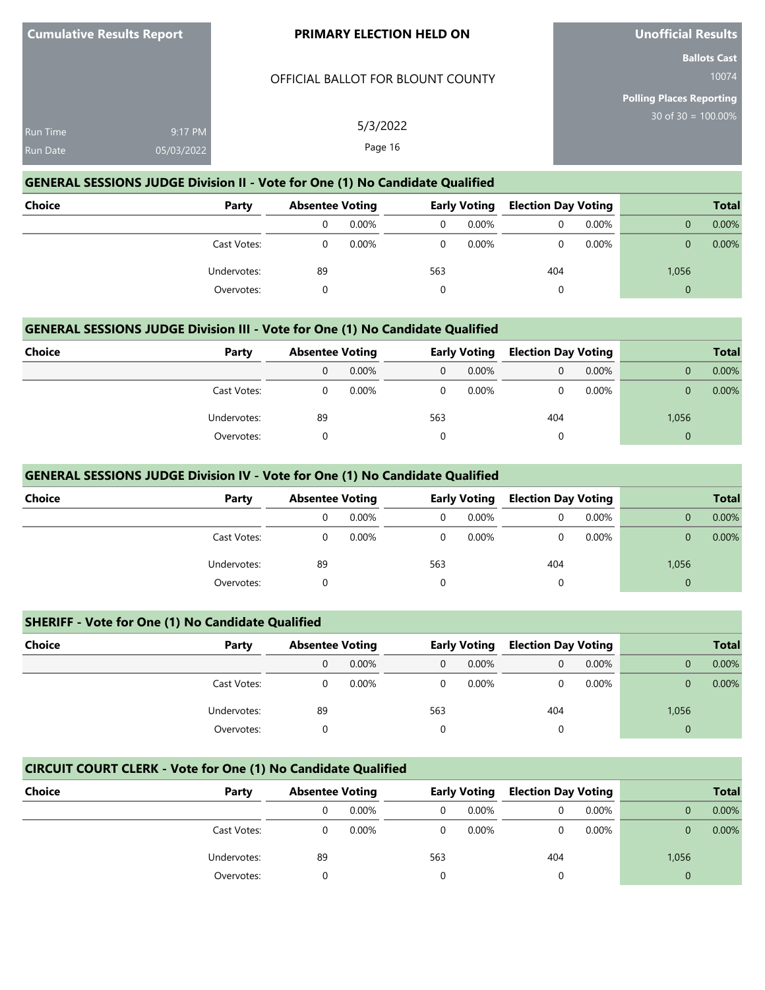#### OFFICIAL BALLOT FOR BLOUNT COUNTY

5/3/2022 Page 16

**Unofficial Results**

**Ballots Cast** 10074

**Polling Places Reporting** 30 of 30 = 100.00%

| 9:17 PM    |
|------------|
| 05/03/2022 |
|            |

# **GENERAL SESSIONS JUDGE Division II - Vote for One (1) No Candidate Qualified**

| <b>Choice</b> | Party       | <b>Absentee Voting</b> |          |     | <b>Early Voting</b> | <b>Election Day Voting</b> |          |          | <b>Total</b> |
|---------------|-------------|------------------------|----------|-----|---------------------|----------------------------|----------|----------|--------------|
|               |             | 0                      | 0.00%    | 0   | $0.00\%$            | 0                          | $0.00\%$ |          | 0.00%        |
|               | Cast Votes: |                        | $0.00\%$ |     | $0.00\%$            | 0                          | $0.00\%$ | 0        | 0.00%        |
|               | Undervotes: | 89                     |          | 563 |                     | 404                        |          | 1,056    |              |
|               | Overvotes:  |                        |          |     |                     | 0                          |          | $\Omega$ |              |

#### **GENERAL SESSIONS JUDGE Division III - Vote for One (1) No Candidate Qualified**

| Choice | Party       |    | <b>Absentee Voting</b> |                | <b>Election Day Voting</b><br><b>Early Voting</b> |     |          |       | <b>Total</b> |
|--------|-------------|----|------------------------|----------------|---------------------------------------------------|-----|----------|-------|--------------|
|        |             | 0  | $0.00\%$               | $\overline{0}$ | $0.00\%$                                          | 0   | $0.00\%$ |       | 0.00%        |
|        | Cast Votes: | 0  | 0.00%                  | $\Omega$       | 0.00%                                             |     | 0.00%    |       | $0.00\%$     |
|        | Undervotes: | 89 |                        | 563            |                                                   | 404 |          | 1,056 |              |
|        | Overvotes:  |    |                        | 0              |                                                   | u   |          |       |              |

#### **GENERAL SESSIONS JUDGE Division IV - Vote for One (1) No Candidate Qualified**

| Choice<br>Party |    | <b>Absentee Voting</b> |          | <b>Early Voting</b> | <b>Election Day Voting</b> |       |          | <b>Total</b> |
|-----------------|----|------------------------|----------|---------------------|----------------------------|-------|----------|--------------|
|                 |    | 0.00%                  | $\Omega$ | 0.00%               |                            | 0.00% |          | 0.00%        |
| Cast Votes:     |    | 0.00%                  | 0        | $0.00\%$            |                            | 0.00% |          | 0.00%        |
| Undervotes:     | 89 |                        | 563      |                     | 404                        |       | 1,056    |              |
| Overvotes:      |    |                        | 0        |                     | 0                          |       | $\Omega$ |              |

# **SHERIFF - Vote for One (1) No Candidate Qualified**

| <b>Choice</b><br>Party | <b>Absentee Voting</b> |          |     | <b>Early Voting</b> | <b>Election Day Voting</b> |          |          | <b>Total</b> |
|------------------------|------------------------|----------|-----|---------------------|----------------------------|----------|----------|--------------|
|                        |                        | $0.00\%$ | 0   | 0.00%               |                            | $0.00\%$ |          | 0.00%        |
| Cast Votes:            |                        | $0.00\%$ |     | 0.00%               |                            | 0.00%    |          | 0.00%        |
| Undervotes:            | 89                     |          | 563 |                     | 404                        |          | 1,056    |              |
| Overvotes:             |                        |          |     |                     |                            |          | $\Omega$ |              |

# **CIRCUIT COURT CLERK - Vote for One (1) No Candidate Qualified**

| Choice | Party       | <b>Absentee Voting</b> |          |     | <b>Early Voting</b> | <b>Election Day Voting</b> |          |          | <b>Total</b> |
|--------|-------------|------------------------|----------|-----|---------------------|----------------------------|----------|----------|--------------|
|        |             |                        | $0.00\%$ | 0   | $0.00\%$            |                            | $0.00\%$ |          | 0.00%        |
|        | Cast Votes: |                        | $0.00\%$ | 0   | $0.00\%$            |                            | $0.00\%$ |          | $0.00\%$     |
|        | Undervotes: | 89                     |          | 563 |                     | 404                        |          | 1,056    |              |
|        | Overvotes:  |                        |          |     |                     |                            |          | $\Omega$ |              |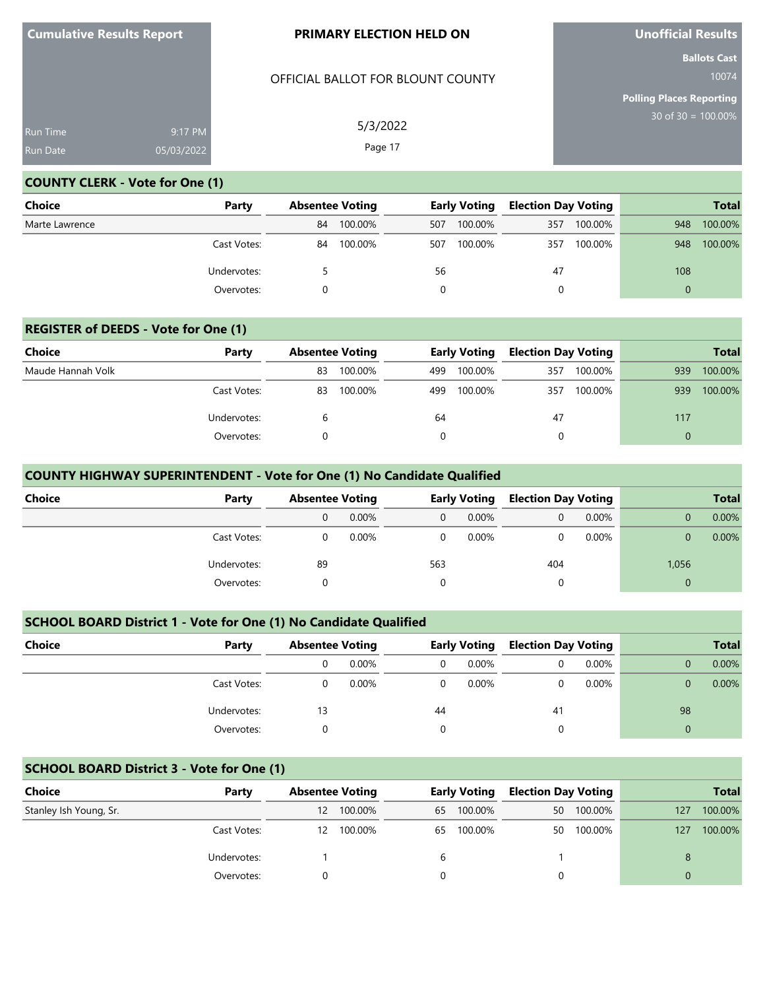# OFFICIAL BALLOT FOR BLOUNT COUNTY

5/3/2022 Page 17

**Unofficial Results**

**Ballots Cast** 10074

**Polling Places Reporting** 30 of 30 = 100.00%

# **COUNTY CLERK - Vote for One (1)**

| <b>Choice</b>  | Party       |    | <b>Absentee Voting</b> |     | <b>Early Voting</b> |     | <b>Election Day Voting</b> |          | <b>Total</b> |
|----------------|-------------|----|------------------------|-----|---------------------|-----|----------------------------|----------|--------------|
| Marte Lawrence |             | 84 | 100.00%                | 507 | 100.00%             | 357 | 100.00%                    | 948      | 100.00%      |
|                | Cast Votes: | 84 | 100.00%                | 507 | 100.00%             | 357 | 100.00%                    | 948      | 100.00%      |
|                | Undervotes: |    |                        | 56  |                     | 47  |                            | 108      |              |
|                | Overvotes:  |    |                        |     |                     | 0   |                            | $\Omega$ |              |

# **REGISTER of DEEDS - Vote for One (1)**

| Choice            | Party       |    | <b>Absentee Voting</b> |     | <b>Early Voting</b> |     | <b>Election Day Voting</b> |     | <b>Total</b> |
|-------------------|-------------|----|------------------------|-----|---------------------|-----|----------------------------|-----|--------------|
| Maude Hannah Volk |             | 83 | 100.00%                | 499 | 100.00%             | 357 | 100.00%                    | 939 | 100.00%      |
|                   | Cast Votes: | 83 | 100.00%                | 499 | 100.00%             | 357 | 100.00%                    | 939 | 100.00%      |
|                   | Undervotes: |    |                        | 64  |                     | 47  |                            | 117 |              |
|                   | Overvotes:  |    |                        |     |                     |     |                            |     |              |

# **COUNTY HIGHWAY SUPERINTENDENT - Vote for One (1) No Candidate Qualified**

| Choice<br>Party |    | <b>Absentee Voting</b> |              | <b>Early Voting</b> |     |       |       | <b>Election Day Voting</b> |  | <b>Total</b> |
|-----------------|----|------------------------|--------------|---------------------|-----|-------|-------|----------------------------|--|--------------|
|                 | 0  | 0.00%                  | $\mathbf{0}$ | 0.00%               | 0   | 0.00% |       | 0.00%                      |  |              |
| Cast Votes:     |    | $0.00\%$               | $\Omega$     | $0.00\%$            |     | 0.00% |       | 0.00%                      |  |              |
| Undervotes:     | 89 |                        | 563          |                     | 404 |       | 1,056 |                            |  |              |
| Overvotes:      |    |                        | $\Omega$     |                     | 0   |       |       |                            |  |              |

# **SCHOOL BOARD District 1 - Vote for One (1) No Candidate Qualified**

| Choice<br>Party | <b>Absentee Voting</b> |    | <b>Early Voting</b> |    | <b>Election Day Voting</b> |    | <b>Total</b> |
|-----------------|------------------------|----|---------------------|----|----------------------------|----|--------------|
|                 | $0.00\%$               | 0  | 0.00%               |    | $0.00\%$                   |    | 0.00%        |
| Cast Votes:     | $0.00\%$               | 0  | 0.00%               |    | 0.00%                      |    | 0.00%        |
| Undervotes:     |                        | 44 |                     | 41 |                            | 98 |              |
| Overvotes:      |                        |    |                     |    |                            | 0  |              |

# **SCHOOL BOARD District 3 - Vote for One (1)**

| Choice                 | Party       | <b>Absentee Voting</b> |         | <b>Early Voting</b> |         | <b>Election Day Voting</b> |         |     | <b>Total</b> |
|------------------------|-------------|------------------------|---------|---------------------|---------|----------------------------|---------|-----|--------------|
| Stanley Ish Young, Sr. |             | 12                     | 100.00% | 65                  | 100.00% | 50                         | 100.00% | 127 | 100.00%      |
|                        | Cast Votes: | 12.                    | 100.00% | 65                  | 100.00% | 50                         | 100.00% | 127 | 100.00%      |
|                        | Undervotes: |                        |         | b                   |         |                            |         | 8   |              |
|                        | Overvotes:  |                        |         |                     |         |                            |         |     |              |